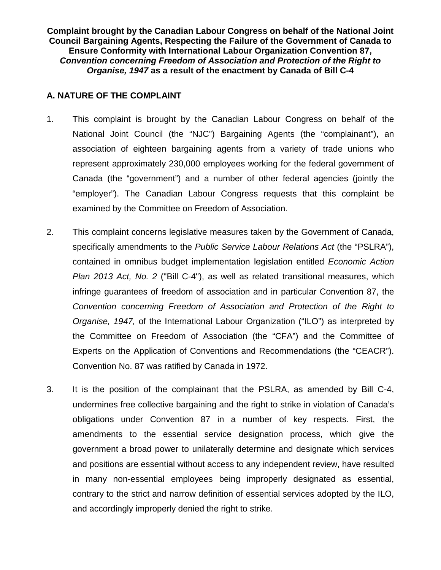**Complaint brought by the Canadian Labour Congress on behalf of the National Joint Council Bargaining Agents, Respecting the Failure of the Government of Canada to Ensure Conformity with International Labour Organization Convention 87,**  *Convention concerning Freedom of Association and Protection of the Right to Organise, 1947* **as a result of the enactment by Canada of Bill C-4**

## **A. NATURE OF THE COMPLAINT**

- 1. This complaint is brought by the Canadian Labour Congress on behalf of the National Joint Council (the "NJC") Bargaining Agents (the "complainant"), an association of eighteen bargaining agents from a variety of trade unions who represent approximately 230,000 employees working for the federal government of Canada (the "government") and a number of other federal agencies (jointly the "employer"). The Canadian Labour Congress requests that this complaint be examined by the Committee on Freedom of Association.
- 2. This complaint concerns legislative measures taken by the Government of Canada, specifically amendments to the *Public Service Labour Relations Act* (the "PSLRA"), contained in omnibus budget implementation legislation entitled *Economic Action Plan 2013 Act, No. 2* ("Bill C-4"), as well as related transitional measures, which infringe guarantees of freedom of association and in particular Convention 87, the *Convention concerning Freedom of Association and Protection of the Right to Organise, 1947,* of the International Labour Organization ("ILO") as interpreted by the Committee on Freedom of Association (the "CFA") and the Committee of Experts on the Application of Conventions and Recommendations (the "CEACR"). Convention No. 87 was ratified by Canada in 1972.
- 3. It is the position of the complainant that the PSLRA, as amended by Bill C-4, undermines free collective bargaining and the right to strike in violation of Canada's obligations under Convention 87 in a number of key respects. First, the amendments to the essential service designation process, which give the government a broad power to unilaterally determine and designate which services and positions are essential without access to any independent review, have resulted in many non-essential employees being improperly designated as essential, contrary to the strict and narrow definition of essential services adopted by the ILO, and accordingly improperly denied the right to strike.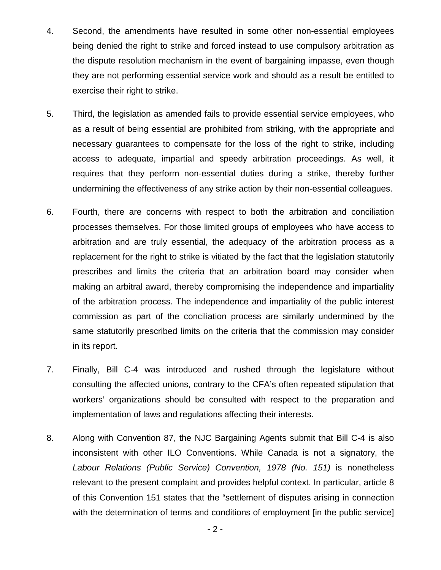- 4. Second, the amendments have resulted in some other non-essential employees being denied the right to strike and forced instead to use compulsory arbitration as the dispute resolution mechanism in the event of bargaining impasse, even though they are not performing essential service work and should as a result be entitled to exercise their right to strike.
- 5. Third, the legislation as amended fails to provide essential service employees, who as a result of being essential are prohibited from striking, with the appropriate and necessary guarantees to compensate for the loss of the right to strike, including access to adequate, impartial and speedy arbitration proceedings. As well, it requires that they perform non-essential duties during a strike, thereby further undermining the effectiveness of any strike action by their non-essential colleagues.
- 6. Fourth, there are concerns with respect to both the arbitration and conciliation processes themselves. For those limited groups of employees who have access to arbitration and are truly essential, the adequacy of the arbitration process as a replacement for the right to strike is vitiated by the fact that the legislation statutorily prescribes and limits the criteria that an arbitration board may consider when making an arbitral award, thereby compromising the independence and impartiality of the arbitration process. The independence and impartiality of the public interest commission as part of the conciliation process are similarly undermined by the same statutorily prescribed limits on the criteria that the commission may consider in its report.
- 7. Finally, Bill C-4 was introduced and rushed through the legislature without consulting the affected unions, contrary to the CFA's often repeated stipulation that workers' organizations should be consulted with respect to the preparation and implementation of laws and regulations affecting their interests.
- 8. Along with Convention 87, the NJC Bargaining Agents submit that Bill C-4 is also inconsistent with other ILO Conventions. While Canada is not a signatory, the *Labour Relations (Public Service) Convention, 1978 (No. 151)* is nonetheless relevant to the present complaint and provides helpful context. In particular, article 8 of this Convention 151 states that the "settlement of disputes arising in connection with the determination of terms and conditions of employment [in the public service]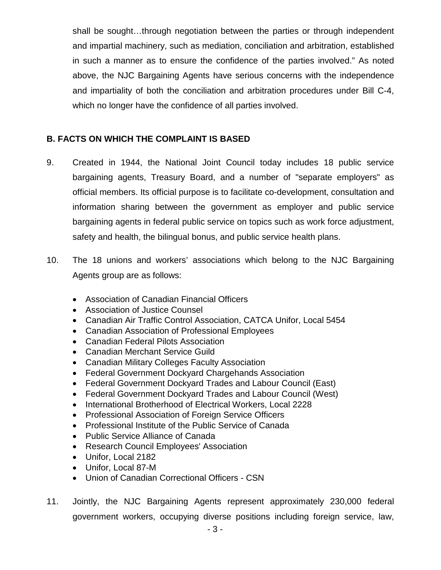shall be sought…through negotiation between the parties or through independent and impartial machinery, such as mediation, conciliation and arbitration, established in such a manner as to ensure the confidence of the parties involved." As noted above, the NJC Bargaining Agents have serious concerns with the independence and impartiality of both the conciliation and arbitration procedures under Bill C-4, which no longer have the confidence of all parties involved.

# **B. FACTS ON WHICH THE COMPLAINT IS BASED**

- 9. Created in 1944, the National Joint Council today includes 18 public service bargaining agents, Treasury Board, and a number of "separate employers" as official members. Its official purpose is to facilitate co-development, consultation and information sharing between the government as employer and public service bargaining agents in federal public service on topics such as work force adjustment, safety and health, the bilingual bonus, and public service health plans.
- 10. The 18 unions and workers' associations which belong to the NJC Bargaining Agents group are as follows:
	- Association of Canadian Financial Officers
	- Association of Justice Counsel
	- Canadian Air Traffic Control Association, CATCA Unifor, Local 5454
	- Canadian Association of Professional Employees
	- Canadian Federal Pilots Association
	- Canadian Merchant Service Guild
	- Canadian Military Colleges Faculty Association
	- Federal Government Dockyard Chargehands Association
	- Federal Government Dockyard Trades and Labour Council (East)
	- Federal Government Dockyard Trades and Labour Council (West)
	- International Brotherhood of Electrical Workers, Local 2228
	- Professional Association of Foreign Service Officers
	- Professional Institute of the Public Service of Canada
	- Public Service Alliance of Canada
	- Research Council Employees' Association
	- Unifor, Local 2182
	- Unifor, Local 87-M
	- Union of Canadian Correctional Officers CSN
- 11. Jointly, the NJC Bargaining Agents represent approximately 230,000 federal government workers, occupying diverse positions including foreign service, law,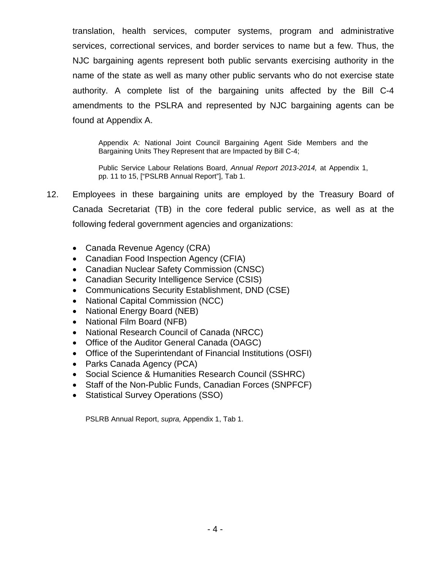translation, health services, computer systems, program and administrative services, correctional services, and border services to name but a few. Thus, the NJC bargaining agents represent both public servants exercising authority in the name of the state as well as many other public servants who do not exercise state authority. A complete list of the bargaining units affected by the Bill C-4 amendments to the PSLRA and represented by NJC bargaining agents can be found at Appendix A.

Appendix A: National Joint Council Bargaining Agent Side Members and the Bargaining Units They Represent that are Impacted by Bill C-4;

Public Service Labour Relations Board, *Annual Report 2013-2014,* at Appendix 1, pp. 11 to 15, ["PSLRB Annual Report"], Tab 1.

- 12. Employees in these bargaining units are employed by the Treasury Board of Canada Secretariat (TB) in the core federal public service, as well as at the following federal government agencies and organizations:
	- Canada Revenue Agency (CRA)
	- Canadian Food Inspection Agency (CFIA)
	- Canadian Nuclear Safety Commission (CNSC)
	- Canadian Security Intelligence Service (CSIS)
	- Communications Security Establishment, DND (CSE)
	- National Capital Commission (NCC)
	- National Energy Board (NEB)
	- National Film Board (NFB)
	- National Research Council of Canada (NRCC)
	- Office of the Auditor General Canada (OAGC)
	- Office of the Superintendant of Financial Institutions (OSFI)
	- Parks Canada Agency (PCA)
	- Social Science & Humanities Research Council (SSHRC)
	- Staff of the Non-Public Funds, Canadian Forces (SNPFCF)
	- Statistical Survey Operations (SSO)

PSLRB Annual Report, *supra,* Appendix 1, Tab 1.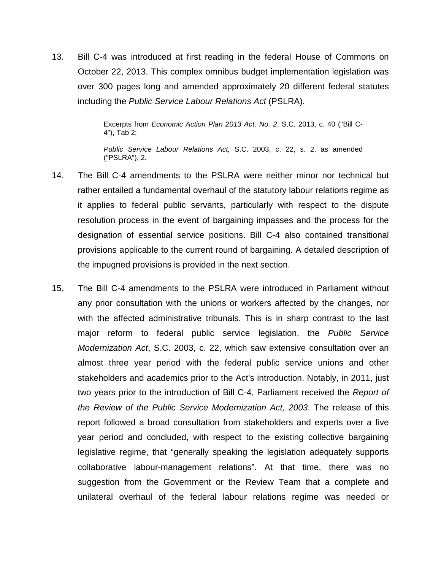13. Bill C-4 was introduced at first reading in the federal House of Commons on October 22, 2013. This complex omnibus budget implementation legislation was over 300 pages long and amended approximately 20 different federal statutes including the *Public Service Labour Relations Act* (PSLRA)*.*

> Excerpts from *Economic Action Plan 2013 Act, No. 2*, S.C. 2013, c. 40 ("Bill C-4"), Tab 2;

> *Public Service Labour Relations Act,* S.C. 2003, c. 22, s. 2, as amended ("PSLRA"), 2.

- 14. The Bill C-4 amendments to the PSLRA were neither minor nor technical but rather entailed a fundamental overhaul of the statutory labour relations regime as it applies to federal public servants, particularly with respect to the dispute resolution process in the event of bargaining impasses and the process for the designation of essential service positions. Bill C-4 also contained transitional provisions applicable to the current round of bargaining. A detailed description of the impugned provisions is provided in the next section.
- 15. The Bill C-4 amendments to the PSLRA were introduced in Parliament without any prior consultation with the unions or workers affected by the changes, nor with the affected administrative tribunals. This is in sharp contrast to the last major reform to federal public service legislation, the *Public Service Modernization Act*, S.C. 2003, c. 22, which saw extensive consultation over an almost three year period with the federal public service unions and other stakeholders and academics prior to the Act's introduction. Notably, in 2011, just two years prior to the introduction of Bill C-4, Parliament received the *Report of the Review of the Public Service Modernization Act, 2003*. The release of this report followed a broad consultation from stakeholders and experts over a five year period and concluded, with respect to the existing collective bargaining legislative regime, that "generally speaking the legislation adequately supports collaborative labour-management relations". At that time, there was no suggestion from the Government or the Review Team that a complete and unilateral overhaul of the federal labour relations regime was needed or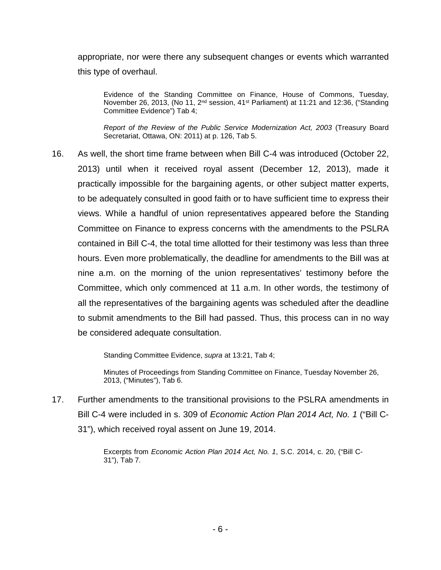appropriate, nor were there any subsequent changes or events which warranted this type of overhaul.

Evidence of the Standing Committee on Finance, House of Commons, Tuesday, November 26, 2013, (No 11, 2nd session, 41st Parliament) at 11:21 and 12:36, ("Standing Committee Evidence") Tab 4;

*Report of the Review of the Public Service Modernization Act, 2003* (Treasury Board Secretariat, Ottawa, ON: 2011) at p. 126, Tab 5.

16. As well, the short time frame between when Bill C-4 was introduced (October 22, 2013) until when it received royal assent (December 12, 2013), made it practically impossible for the bargaining agents, or other subject matter experts, to be adequately consulted in good faith or to have sufficient time to express their views. While a handful of union representatives appeared before the Standing Committee on Finance to express concerns with the amendments to the PSLRA contained in Bill C-4, the total time allotted for their testimony was less than three hours. Even more problematically, the deadline for amendments to the Bill was at nine a.m. on the morning of the union representatives' testimony before the Committee, which only commenced at 11 a.m. In other words, the testimony of all the representatives of the bargaining agents was scheduled after the deadline to submit amendments to the Bill had passed. Thus, this process can in no way be considered adequate consultation.

Standing Committee Evidence, *supra* at 13:21, Tab 4;

Minutes of Proceedings from Standing Committee on Finance, Tuesday November 26, 2013, ("Minutes"), Tab 6.

17. Further amendments to the transitional provisions to the PSLRA amendments in Bill C-4 were included in s. 309 of *Economic Action Plan 2014 Act, No. 1* ("Bill C-31"), which received royal assent on June 19, 2014.

> Excerpts from *Economic Action Plan 2014 Act, No. 1*, S.C. 2014, c. 20, ("Bill C-31"), Tab 7.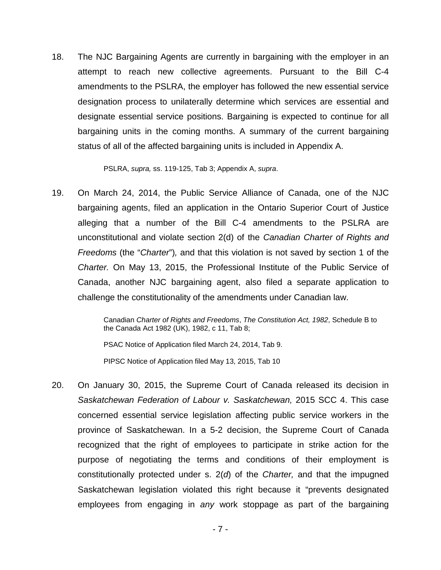18. The NJC Bargaining Agents are currently in bargaining with the employer in an attempt to reach new collective agreements. Pursuant to the Bill C-4 amendments to the PSLRA, the employer has followed the new essential service designation process to unilaterally determine which services are essential and designate essential service positions. Bargaining is expected to continue for all bargaining units in the coming months. A summary of the current bargaining status of all of the affected bargaining units is included in Appendix A.

PSLRA, *supra,* ss. 119-125, Tab 3; Appendix A, *supra*.

19. On March 24, 2014, the Public Service Alliance of Canada, one of the NJC bargaining agents, filed an application in the Ontario Superior Court of Justice alleging that a number of the Bill C-4 amendments to the PSLRA are unconstitutional and violate section 2(d) of the *Canadian Charter of Rights and Freedoms* (the "*Charter*")*,* and that this violation is not saved by section 1 of the *Charter.* On May 13, 2015, the Professional Institute of the Public Service of Canada, another NJC bargaining agent, also filed a separate application to challenge the constitutionality of the amendments under Canadian law.

> Canadian *Charter of Rights and Freedoms*, *The Constitution Act, 1982*, Schedule B to the Canada Act 1982 (UK), 1982, c 11, Tab 8;

PSAC Notice of Application filed March 24, 2014, Tab 9.

PIPSC Notice of Application filed May 13, 2015, Tab 10

20. On January 30, 2015, the Supreme Court of Canada released its decision in *Saskatchewan Federation of Labour v. Saskatchewan,* 2015 SCC 4. This case concerned essential service legislation affecting public service workers in the province of Saskatchewan. In a 5-2 decision, the Supreme Court of Canada recognized that the right of employees to participate in strike action for the purpose of negotiating the terms and conditions of their employment is constitutionally protected under s. 2(*d*) of the *Charter,* and that the impugned Saskatchewan legislation violated this right because it "prevents designated employees from engaging in *any* work stoppage as part of the bargaining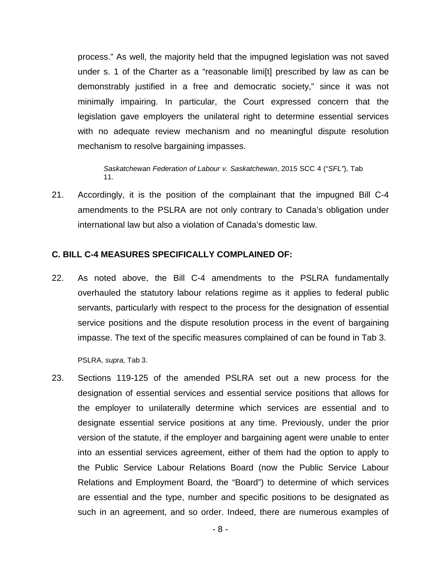process." As well, the majority held that the impugned legislation was not saved under s. 1 of the Charter as a "reasonable limi[t] prescribed by law as can be demonstrably justified in a free and democratic society," since it was not minimally impairing. In particular, the Court expressed concern that the legislation gave employers the unilateral right to determine essential services with no adequate review mechanism and no meaningful dispute resolution mechanism to resolve bargaining impasses.

*Saskatchewan Federation of Labour v. Saskatchewan*, 2015 SCC 4 ("*SFL"*), Tab 11.

21. Accordingly, it is the position of the complainant that the impugned Bill C-4 amendments to the PSLRA are not only contrary to Canada's obligation under international law but also a violation of Canada's domestic law.

#### **C. BILL C-4 MEASURES SPECIFICALLY COMPLAINED OF:**

22. As noted above, the Bill C-4 amendments to the PSLRA fundamentally overhauled the statutory labour relations regime as it applies to federal public servants, particularly with respect to the process for the designation of essential service positions and the dispute resolution process in the event of bargaining impasse. The text of the specific measures complained of can be found in Tab 3.

PSLRA, *supra,* Tab 3.

23. Sections 119-125 of the amended PSLRA set out a new process for the designation of essential services and essential service positions that allows for the employer to unilaterally determine which services are essential and to designate essential service positions at any time. Previously, under the prior version of the statute, if the employer and bargaining agent were unable to enter into an essential services agreement, either of them had the option to apply to the Public Service Labour Relations Board (now the Public Service Labour Relations and Employment Board, the "Board") to determine of which services are essential and the type, number and specific positions to be designated as such in an agreement, and so order. Indeed, there are numerous examples of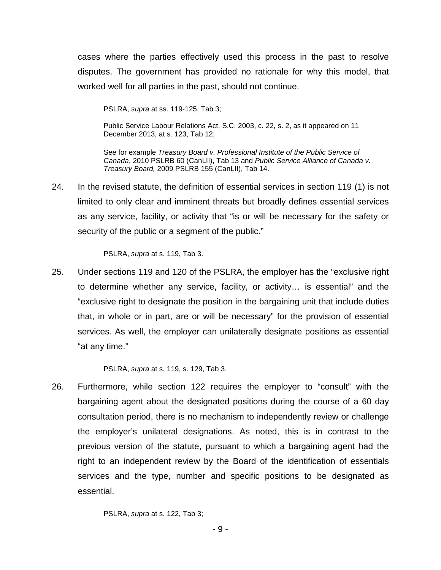cases where the parties effectively used this process in the past to resolve disputes. The government has provided no rationale for why this model, that worked well for all parties in the past, should not continue.

PSLRA, *supra* at ss. 119-125, Tab 3;

Public Service Labour Relations Act, S.C. 2003, c. 22, s. 2, as it appeared on 11 December 2013, at s. 123, Tab 12;

See for example *Treasury Board v. Professional Institute of the Public Service of Canada*, 2010 PSLRB 60 (CanLII), Tab 13 and *Public Service Alliance of Canada v. Treasury Board,* 2009 PSLRB 155 (CanLII), Tab 14.

24. In the revised statute, the definition of essential services in section 119 (1) is not limited to only clear and imminent threats but broadly defines essential services as any service, facility, or activity that "is or will be necessary for the safety or security of the public or a segment of the public."

PSLRA, *supra* at s. 119, Tab 3.

25. Under sections 119 and 120 of the PSLRA, the employer has the "exclusive right to determine whether any service, facility, or activity… is essential" and the "exclusive right to designate the position in the bargaining unit that include duties that, in whole or in part, are or will be necessary" for the provision of essential services. As well, the employer can unilaterally designate positions as essential "at any time."

PSLRA, *supra* at s. 119, s. 129, Tab 3.

26. Furthermore, while section 122 requires the employer to "consult" with the bargaining agent about the designated positions during the course of a 60 day consultation period, there is no mechanism to independently review or challenge the employer's unilateral designations. As noted, this is in contrast to the previous version of the statute, pursuant to which a bargaining agent had the right to an independent review by the Board of the identification of essentials services and the type, number and specific positions to be designated as essential.

PSLRA, *supra* at s. 122, Tab 3;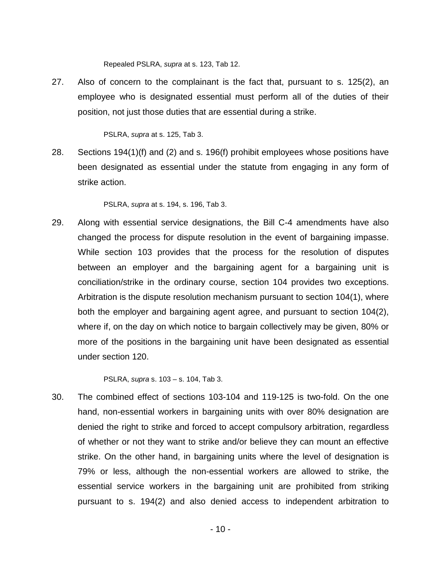Repealed PSLRA, *supra* at s. 123, Tab 12.

27. Also of concern to the complainant is the fact that, pursuant to s. 125(2), an employee who is designated essential must perform all of the duties of their position, not just those duties that are essential during a strike.

PSLRA, *supra* at s. 125, Tab 3.

28. Sections 194(1)(f) and (2) and s. 196(f) prohibit employees whose positions have been designated as essential under the statute from engaging in any form of strike action.

PSLRA, *supra* at s. 194, s. 196, Tab 3.

29. Along with essential service designations, the Bill C-4 amendments have also changed the process for dispute resolution in the event of bargaining impasse. While section 103 provides that the process for the resolution of disputes between an employer and the bargaining agent for a bargaining unit is conciliation/strike in the ordinary course, section 104 provides two exceptions. Arbitration is the dispute resolution mechanism pursuant to section 104(1), where both the employer and bargaining agent agree, and pursuant to section 104(2), where if, on the day on which notice to bargain collectively may be given, 80% or more of the positions in the bargaining unit have been designated as essential under section 120.

PSLRA, *supra* s. 103 – s. 104, Tab 3.

30. The combined effect of sections 103-104 and 119-125 is two-fold. On the one hand, non-essential workers in bargaining units with over 80% designation are denied the right to strike and forced to accept compulsory arbitration, regardless of whether or not they want to strike and/or believe they can mount an effective strike. On the other hand, in bargaining units where the level of designation is 79% or less, although the non-essential workers are allowed to strike, the essential service workers in the bargaining unit are prohibited from striking pursuant to s. 194(2) and also denied access to independent arbitration to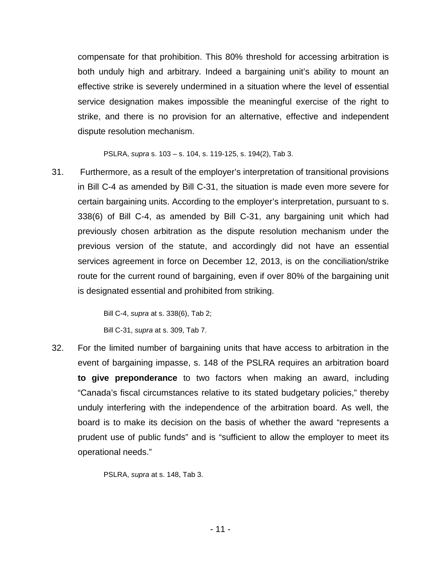compensate for that prohibition. This 80% threshold for accessing arbitration is both unduly high and arbitrary. Indeed a bargaining unit's ability to mount an effective strike is severely undermined in a situation where the level of essential service designation makes impossible the meaningful exercise of the right to strike, and there is no provision for an alternative, effective and independent dispute resolution mechanism.

PSLRA, *supra* s. 103 – s. 104, s. 119-125, s. 194(2), Tab 3.

31. Furthermore, as a result of the employer's interpretation of transitional provisions in Bill C-4 as amended by Bill C-31, the situation is made even more severe for certain bargaining units. According to the employer's interpretation, pursuant to s. 338(6) of Bill C-4, as amended by Bill C-31, any bargaining unit which had previously chosen arbitration as the dispute resolution mechanism under the previous version of the statute, and accordingly did not have an essential services agreement in force on December 12, 2013, is on the conciliation/strike route for the current round of bargaining, even if over 80% of the bargaining unit is designated essential and prohibited from striking.

> Bill C-4, *supra* at s. 338(6), Tab 2; Bill C-31, *supra* at s. 309, Tab 7.

32. For the limited number of bargaining units that have access to arbitration in the event of bargaining impasse, s. 148 of the PSLRA requires an arbitration board **to give preponderance** to two factors when making an award, including "Canada's fiscal circumstances relative to its stated budgetary policies," thereby unduly interfering with the independence of the arbitration board. As well, the board is to make its decision on the basis of whether the award "represents a prudent use of public funds" and is "sufficient to allow the employer to meet its operational needs."

PSLRA, *supra* at s. 148, Tab 3.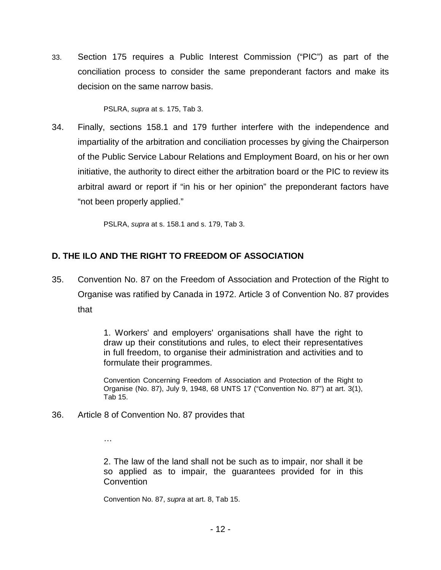33. Section 175 requires a Public Interest Commission ("PIC") as part of the conciliation process to consider the same preponderant factors and make its decision on the same narrow basis.

PSLRA, *supra* at s. 175, Tab 3.

34. Finally, sections 158.1 and 179 further interfere with the independence and impartiality of the arbitration and conciliation processes by giving the Chairperson of the Public Service Labour Relations and Employment Board, on his or her own initiative, the authority to direct either the arbitration board or the PIC to review its arbitral award or report if "in his or her opinion" the preponderant factors have "not been properly applied."

PSLRA, *supra* at s. 158.1 and s. 179, Tab 3.

# **D. THE ILO AND THE RIGHT TO FREEDOM OF ASSOCIATION**

35. Convention No. 87 on the Freedom of Association and Protection of the Right to Organise was ratified by Canada in 1972. Article 3 of Convention No. 87 provides that

> 1. Workers' and employers' organisations shall have the right to draw up their constitutions and rules, to elect their representatives in full freedom, to organise their administration and activities and to formulate their programmes.

> Convention Concerning Freedom of Association and Protection of the Right to Organise (No. 87), July 9, 1948, 68 UNTS 17 ("Convention No. 87") at art. 3(1), Tab 15.

36. Article 8 of Convention No. 87 provides that

…

2. The law of the land shall not be such as to impair, nor shall it be so applied as to impair, the guarantees provided for in this **Convention** 

Convention No. 87, *supra* at art. 8, Tab 15.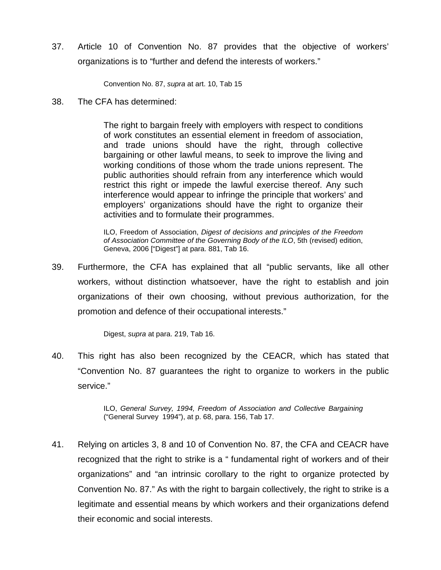37. Article 10 of Convention No. 87 provides that the objective of workers' organizations is to "further and defend the interests of workers."

Convention No. 87, *supra* at art. 10, Tab 15

38. The CFA has determined:

The right to bargain freely with employers with respect to conditions of work constitutes an essential element in freedom of association, and trade unions should have the right, through collective bargaining or other lawful means, to seek to improve the living and working conditions of those whom the trade unions represent. The public authorities should refrain from any interference which would restrict this right or impede the lawful exercise thereof. Any such interference would appear to infringe the principle that workers' and employers' organizations should have the right to organize their activities and to formulate their programmes.

ILO, Freedom of Association, *Digest of decisions and principles of the Freedom of Association Committee of the Governing Body of the ILO*, 5th (revised) edition, Geneva, 2006 ["Digest"] at para. 881, Tab 16.

39. Furthermore, the CFA has explained that all "public servants, like all other workers, without distinction whatsoever, have the right to establish and join organizations of their own choosing, without previous authorization, for the promotion and defence of their occupational interests."

Digest, *supra* at para. 219, Tab 16.

40. This right has also been recognized by the CEACR, which has stated that "Convention No. 87 guarantees the right to organize to workers in the public service."

> ILO, *General Survey, 1994, Freedom of Association and Collective Bargaining* ("General Survey 1994"), at p. 68, para. 156, Tab 17.

41. Relying on articles 3, 8 and 10 of Convention No. 87, the CFA and CEACR have recognized that the right to strike is a " fundamental right of workers and of their organizations" and "an intrinsic corollary to the right to organize protected by Convention No. 87." As with the right to bargain collectively, the right to strike is a legitimate and essential means by which workers and their organizations defend their economic and social interests.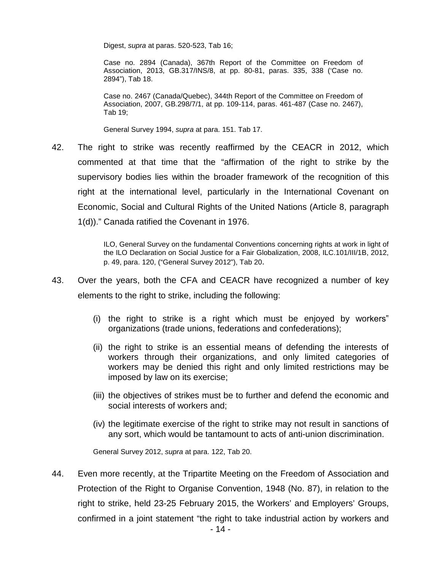Digest, *supra* at paras. 520-523, Tab 16;

Case no. 2894 (Canada), 367th Report of the Committee on Freedom of Association, 2013, GB.317/INS/8, at pp. 80-81, paras. 335, 338 ('Case no. 2894"), Tab 18.

Case no. 2467 (Canada/Quebec), 344th Report of the Committee on Freedom of Association, 2007, GB.298/7/1, at pp. 109-114, paras. 461-487 (Case no. 2467), Tab 19;

General Survey 1994, *supra* at para. 151. Tab 17.

42. The right to strike was recently reaffirmed by the CEACR in 2012, which commented at that time that the "affirmation of the right to strike by the supervisory bodies lies within the broader framework of the recognition of this right at the international level, particularly in the International Covenant on Economic, Social and Cultural Rights of the United Nations (Article 8, paragraph 1(d))." Canada ratified the Covenant in 1976.

> ILO, General Survey on the fundamental Conventions concerning rights at work in light of the ILO Declaration on Social Justice for a Fair Globalization, 2008, ILC.101/III/1B, 2012, p. 49, para. 120, ("General Survey 2012"), Tab 20.

- 43. Over the years, both the CFA and CEACR have recognized a number of key elements to the right to strike, including the following:
	- (i) the right to strike is a right which must be enjoyed by workers" organizations (trade unions, federations and confederations);
	- (ii) the right to strike is an essential means of defending the interests of workers through their organizations, and only limited categories of workers may be denied this right and only limited restrictions may be imposed by law on its exercise;
	- (iii) the objectives of strikes must be to further and defend the economic and social interests of workers and;
	- (iv) the legitimate exercise of the right to strike may not result in sanctions of any sort, which would be tantamount to acts of anti-union discrimination.

General Survey 2012, *supra* at para. 122, Tab 20.

44. Even more recently, at the Tripartite Meeting on the Freedom of Association and Protection of the Right to Organise Convention, 1948 (No. 87), in relation to the right to strike, held 23-25 February 2015, the Workers' and Employers' Groups, confirmed in a joint statement "the right to take industrial action by workers and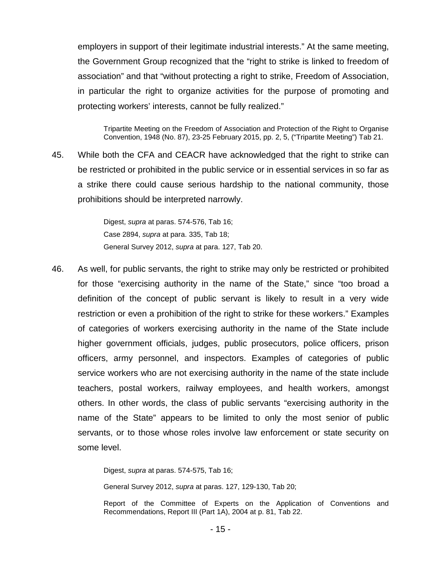employers in support of their legitimate industrial interests." At the same meeting, the Government Group recognized that the "right to strike is linked to freedom of association" and that "without protecting a right to strike, Freedom of Association, in particular the right to organize activities for the purpose of promoting and protecting workers' interests, cannot be fully realized."

Tripartite Meeting on the Freedom of Association and Protection of the Right to Organise Convention, 1948 (No. 87), 23-25 February 2015, pp. 2, 5, ("Tripartite Meeting") Tab 21.

45. While both the CFA and CEACR have acknowledged that the right to strike can be restricted or prohibited in the public service or in essential services in so far as a strike there could cause serious hardship to the national community, those prohibitions should be interpreted narrowly.

> Digest, *supra* at paras. 574-576, Tab 16; Case 2894, *supra* at para. 335, Tab 18; General Survey 2012, *supra* at para. 127, Tab 20.

46. As well, for public servants, the right to strike may only be restricted or prohibited for those "exercising authority in the name of the State," since "too broad a definition of the concept of public servant is likely to result in a very wide restriction or even a prohibition of the right to strike for these workers." Examples of categories of workers exercising authority in the name of the State include higher government officials, judges, public prosecutors, police officers, prison officers, army personnel, and inspectors. Examples of categories of public service workers who are not exercising authority in the name of the state include teachers, postal workers, railway employees, and health workers, amongst others. In other words, the class of public servants "exercising authority in the name of the State" appears to be limited to only the most senior of public servants, or to those whose roles involve law enforcement or state security on some level.

Digest, *supra* at paras. 574-575, Tab 16;

General Survey 2012, *supra* at paras. 127, 129-130, Tab 20;

Report of the Committee of Experts on the Application of Conventions and Recommendations, Report III (Part 1A), 2004 at p. 81, Tab 22.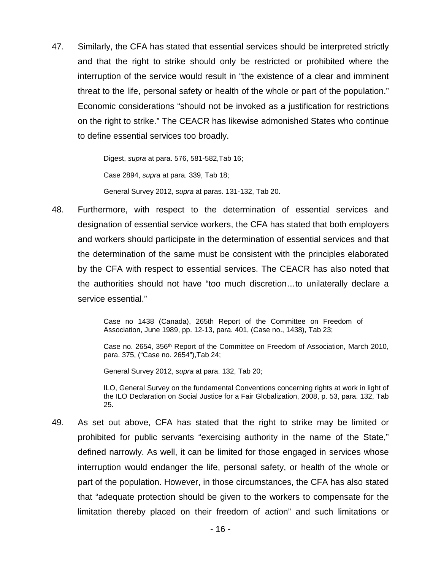47. Similarly, the CFA has stated that essential services should be interpreted strictly and that the right to strike should only be restricted or prohibited where the interruption of the service would result in "the existence of a clear and imminent threat to the life, personal safety or health of the whole or part of the population." Economic considerations "should not be invoked as a justification for restrictions on the right to strike." The CEACR has likewise admonished States who continue to define essential services too broadly.

> Digest, *supra* at para. 576, 581-582,Tab 16; Case 2894, *supra* at para. 339, Tab 18; General Survey 2012, *supra* at paras. 131-132, Tab 20.

48. Furthermore, with respect to the determination of essential services and designation of essential service workers, the CFA has stated that both employers and workers should participate in the determination of essential services and that the determination of the same must be consistent with the principles elaborated by the CFA with respect to essential services. The CEACR has also noted that the authorities should not have "too much discretion…to unilaterally declare a service essential."

> Case no 1438 (Canada), 265th Report of the Committee on Freedom of Association, June 1989, pp. 12-13, para. 401, (Case no., 1438), Tab 23;

Case no. 2654, 356th Report of the Committee on Freedom of Association, March 2010, para. 375, ("Case no. 2654"),Tab 24;

General Survey 2012, *supra* at para. 132, Tab 20;

ILO, General Survey on the fundamental Conventions concerning rights at work in light of the ILO Declaration on Social Justice for a Fair Globalization, 2008, p. 53, para. 132, Tab 25.

49. As set out above, CFA has stated that the right to strike may be limited or prohibited for public servants "exercising authority in the name of the State," defined narrowly. As well, it can be limited for those engaged in services whose interruption would endanger the life, personal safety, or health of the whole or part of the population. However, in those circumstances, the CFA has also stated that "adequate protection should be given to the workers to compensate for the limitation thereby placed on their freedom of action" and such limitations or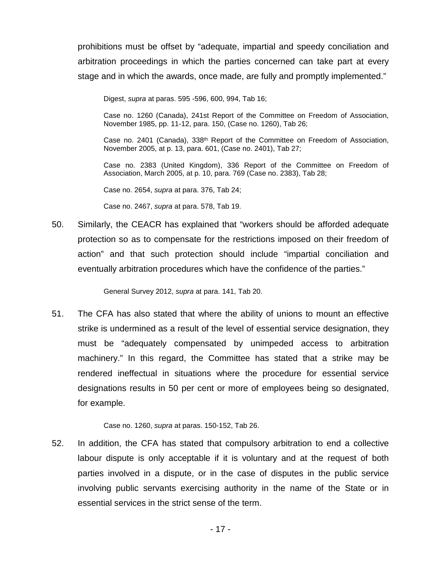prohibitions must be offset by "adequate, impartial and speedy conciliation and arbitration proceedings in which the parties concerned can take part at every stage and in which the awards, once made, are fully and promptly implemented."

Digest, *supra* at paras. 595 -596, 600, 994, Tab 16;

Case no. 1260 (Canada), 241st Report of the Committee on Freedom of Association, November 1985, pp. 11-12, para. 150, (Case no. 1260), Tab 26;

Case no. 2401 (Canada),  $338<sup>th</sup>$  Report of the Committee on Freedom of Association, November 2005, at p. 13, para. 601, (Case no. 2401), Tab 27;

Case no. 2383 (United Kingdom), 336 Report of the Committee on Freedom of Association, March 2005, at p. 10, para. 769 (Case no. 2383), Tab 28;

Case no. 2654, *supra* at para. 376, Tab 24;

Case no. 2467, *supra* at para. 578, Tab 19.

50. Similarly, the CEACR has explained that "workers should be afforded adequate protection so as to compensate for the restrictions imposed on their freedom of action" and that such protection should include "impartial conciliation and eventually arbitration procedures which have the confidence of the parties."

General Survey 2012, *supra* at para. 141, Tab 20.

51. The CFA has also stated that where the ability of unions to mount an effective strike is undermined as a result of the level of essential service designation, they must be "adequately compensated by unimpeded access to arbitration machinery." In this regard, the Committee has stated that a strike may be rendered ineffectual in situations where the procedure for essential service designations results in 50 per cent or more of employees being so designated, for example.

Case no. 1260, *supra* at paras. 150-152, Tab 26.

52. In addition, the CFA has stated that compulsory arbitration to end a collective labour dispute is only acceptable if it is voluntary and at the request of both parties involved in a dispute, or in the case of disputes in the public service involving public servants exercising authority in the name of the State or in essential services in the strict sense of the term.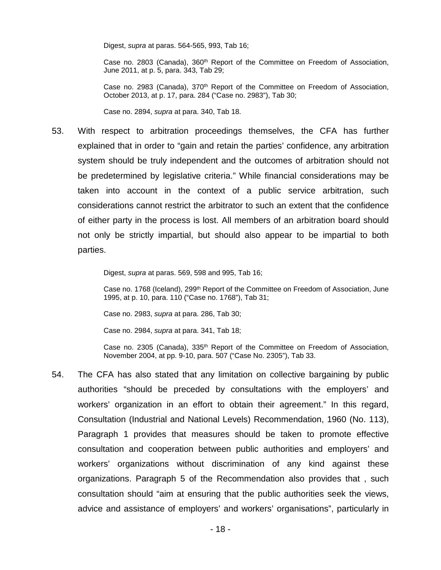Digest, *supra* at paras. 564-565, 993, Tab 16;

Case no. 2803 (Canada), 360<sup>th</sup> Report of the Committee on Freedom of Association, June 2011, at p. 5, para. 343, Tab 29;

Case no. 2983 (Canada), 370<sup>th</sup> Report of the Committee on Freedom of Association, October 2013, at p. 17, para. 284 ("Case no. 2983"), Tab 30;

Case no. 2894, *supra* at para. 340, Tab 18.

53. With respect to arbitration proceedings themselves, the CFA has further explained that in order to "gain and retain the parties' confidence, any arbitration system should be truly independent and the outcomes of arbitration should not be predetermined by legislative criteria." While financial considerations may be taken into account in the context of a public service arbitration, such considerations cannot restrict the arbitrator to such an extent that the confidence of either party in the process is lost. All members of an arbitration board should not only be strictly impartial, but should also appear to be impartial to both parties.

Digest, *supra* at paras. 569, 598 and 995, Tab 16;

Case no. 1768 (Iceland), 299th Report of the Committee on Freedom of Association, June 1995, at p. 10, para. 110 ("Case no. 1768"), Tab 31;

Case no. 2983, *supra* at para. 286, Tab 30;

Case no. 2984, *supra* at para. 341, Tab 18;

Case no. 2305 (Canada), 335<sup>th</sup> Report of the Committee on Freedom of Association, November 2004, at pp. 9-10, para. 507 ("Case No. 2305"), Tab 33.

54. The CFA has also stated that any limitation on collective bargaining by public authorities "should be preceded by consultations with the employers' and workers' organization in an effort to obtain their agreement." In this regard, Consultation (Industrial and National Levels) Recommendation, 1960 (No. 113), Paragraph 1 provides that measures should be taken to promote effective consultation and cooperation between public authorities and employers' and workers' organizations without discrimination of any kind against these organizations. Paragraph 5 of the Recommendation also provides that , such consultation should "aim at ensuring that the public authorities seek the views, advice and assistance of employers' and workers' organisations", particularly in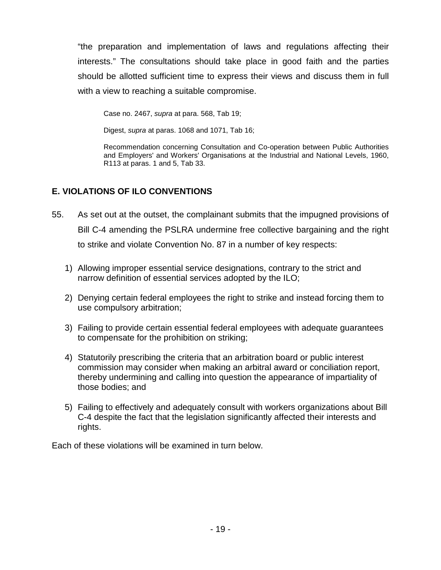"the preparation and implementation of laws and regulations affecting their interests." The consultations should take place in good faith and the parties should be allotted sufficient time to express their views and discuss them in full with a view to reaching a suitable compromise.

Case no. 2467, *supra* at para. 568, Tab 19;

Digest, *supra* at paras. 1068 and 1071, Tab 16;

Recommendation concerning Consultation and Co-operation between Public Authorities and Employers' and Workers' Organisations at the Industrial and National Levels, 1960, R113 at paras. 1 and 5, Tab 33.

# **E. VIOLATIONS OF ILO CONVENTIONS**

- 55. As set out at the outset, the complainant submits that the impugned provisions of Bill C-4 amending the PSLRA undermine free collective bargaining and the right to strike and violate Convention No. 87 in a number of key respects:
	- 1) Allowing improper essential service designations, contrary to the strict and narrow definition of essential services adopted by the ILO;
	- 2) Denying certain federal employees the right to strike and instead forcing them to use compulsory arbitration;
	- 3) Failing to provide certain essential federal employees with adequate guarantees to compensate for the prohibition on striking;
	- 4) Statutorily prescribing the criteria that an arbitration board or public interest commission may consider when making an arbitral award or conciliation report, thereby undermining and calling into question the appearance of impartiality of those bodies; and
	- 5) Failing to effectively and adequately consult with workers organizations about Bill C-4 despite the fact that the legislation significantly affected their interests and rights.

Each of these violations will be examined in turn below.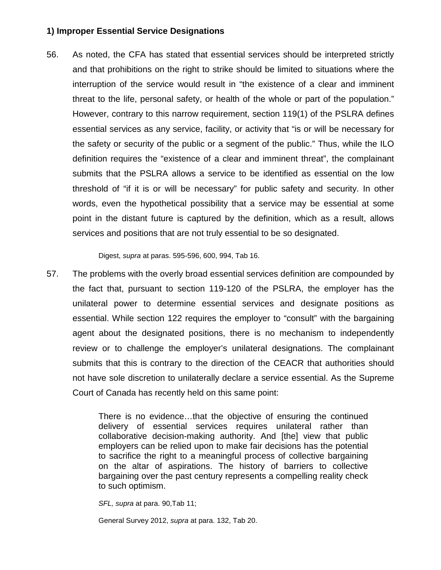#### **1) Improper Essential Service Designations**

56. As noted, the CFA has stated that essential services should be interpreted strictly and that prohibitions on the right to strike should be limited to situations where the interruption of the service would result in "the existence of a clear and imminent threat to the life, personal safety, or health of the whole or part of the population." However, contrary to this narrow requirement, section 119(1) of the PSLRA defines essential services as any service, facility, or activity that "is or will be necessary for the safety or security of the public or a segment of the public." Thus, while the ILO definition requires the "existence of a clear and imminent threat", the complainant submits that the PSLRA allows a service to be identified as essential on the low threshold of "if it is or will be necessary" for public safety and security. In other words, even the hypothetical possibility that a service may be essential at some point in the distant future is captured by the definition, which as a result, allows services and positions that are not truly essential to be so designated.

Digest, *supra* at paras. 595-596, 600, 994, Tab 16.

57. The problems with the overly broad essential services definition are compounded by the fact that, pursuant to section 119-120 of the PSLRA, the employer has the unilateral power to determine essential services and designate positions as essential. While section 122 requires the employer to "consult" with the bargaining agent about the designated positions, there is no mechanism to independently review or to challenge the employer's unilateral designations. The complainant submits that this is contrary to the direction of the CEACR that authorities should not have sole discretion to unilaterally declare a service essential. As the Supreme Court of Canada has recently held on this same point:

> There is no evidence…that the objective of ensuring the continued delivery of essential services requires unilateral rather than collaborative decision-making authority. And [the] view that public employers can be relied upon to make fair decisions has the potential to sacrifice the right to a meaningful process of collective bargaining on the altar of aspirations. The history of barriers to collective bargaining over the past century represents a compelling reality check to such optimism.

*SFL, supra* at para. 90,Tab 11;

General Survey 2012, *supra* at para. 132, Tab 20.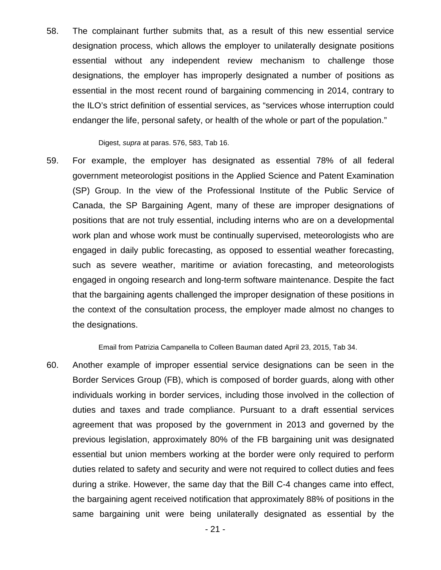58. The complainant further submits that, as a result of this new essential service designation process, which allows the employer to unilaterally designate positions essential without any independent review mechanism to challenge those designations, the employer has improperly designated a number of positions as essential in the most recent round of bargaining commencing in 2014, contrary to the ILO's strict definition of essential services, as "services whose interruption could endanger the life, personal safety, or health of the whole or part of the population."

Digest, *supra* at paras. 576, 583, Tab 16.

59. For example, the employer has designated as essential 78% of all federal government meteorologist positions in the Applied Science and Patent Examination (SP) Group. In the view of the Professional Institute of the Public Service of Canada, the SP Bargaining Agent, many of these are improper designations of positions that are not truly essential, including interns who are on a developmental work plan and whose work must be continually supervised, meteorologists who are engaged in daily public forecasting, as opposed to essential weather forecasting, such as severe weather, maritime or aviation forecasting, and meteorologists engaged in ongoing research and long-term software maintenance. Despite the fact that the bargaining agents challenged the improper designation of these positions in the context of the consultation process, the employer made almost no changes to the designations.

Email from Patrizia Campanella to Colleen Bauman dated April 23, 2015, Tab 34.

60. Another example of improper essential service designations can be seen in the Border Services Group (FB), which is composed of border guards, along with other individuals working in border services, including those involved in the collection of duties and taxes and trade compliance. Pursuant to a draft essential services agreement that was proposed by the government in 2013 and governed by the previous legislation, approximately 80% of the FB bargaining unit was designated essential but union members working at the border were only required to perform duties related to safety and security and were not required to collect duties and fees during a strike. However, the same day that the Bill C-4 changes came into effect, the bargaining agent received notification that approximately 88% of positions in the same bargaining unit were being unilaterally designated as essential by the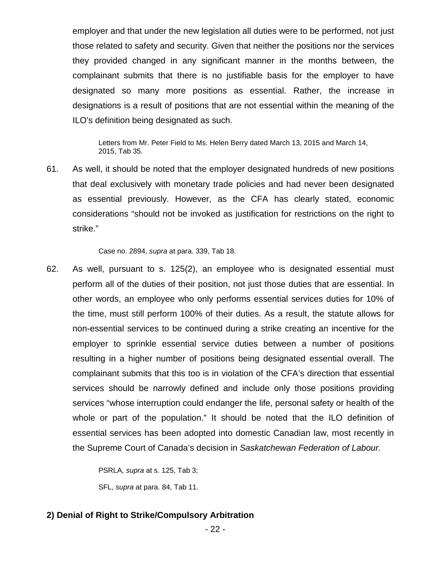employer and that under the new legislation all duties were to be performed, not just those related to safety and security. Given that neither the positions nor the services they provided changed in any significant manner in the months between, the complainant submits that there is no justifiable basis for the employer to have designated so many more positions as essential. Rather, the increase in designations is a result of positions that are not essential within the meaning of the ILO's definition being designated as such.

Letters from Mr. Peter Field to Ms. Helen Berry dated March 13, 2015 and March 14, 2015, Tab 35.

61. As well, it should be noted that the employer designated hundreds of new positions that deal exclusively with monetary trade policies and had never been designated as essential previously. However, as the CFA has clearly stated, economic considerations "should not be invoked as justification for restrictions on the right to strike."

Case no. 2894, *supra* at para. 339, Tab 18.

62. As well, pursuant to s. 125(2), an employee who is designated essential must perform all of the duties of their position, not just those duties that are essential. In other words, an employee who only performs essential services duties for 10% of the time, must still perform 100% of their duties. As a result, the statute allows for non-essential services to be continued during a strike creating an incentive for the employer to sprinkle essential service duties between a number of positions resulting in a higher number of positions being designated essential overall. The complainant submits that this too is in violation of the CFA's direction that essential services should be narrowly defined and include only those positions providing services "whose interruption could endanger the life, personal safety or health of the whole or part of the population." It should be noted that the ILO definition of essential services has been adopted into domestic Canadian law, most recently in the Supreme Court of Canada's decision in *Saskatchewan Federation of Labour.*

> PSRLA, *supra* at s. 125, Tab 3; SFL, *supra* at para. 84, Tab 11.

#### **2) Denial of Right to Strike/Compulsory Arbitration**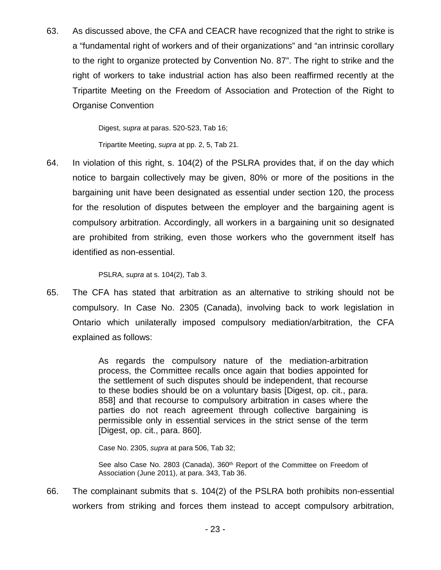63. As discussed above, the CFA and CEACR have recognized that the right to strike is a "fundamental right of workers and of their organizations" and "an intrinsic corollary to the right to organize protected by Convention No. 87". The right to strike and the right of workers to take industrial action has also been reaffirmed recently at the Tripartite Meeting on the Freedom of Association and Protection of the Right to Organise Convention

Digest, *supra* at paras. 520-523, Tab 16;

Tripartite Meeting, *supra* at pp. 2, 5, Tab 21.

64. In violation of this right, s. 104(2) of the PSLRA provides that, if on the day which notice to bargain collectively may be given, 80% or more of the positions in the bargaining unit have been designated as essential under section 120, the process for the resolution of disputes between the employer and the bargaining agent is compulsory arbitration. Accordingly, all workers in a bargaining unit so designated are prohibited from striking, even those workers who the government itself has identified as non-essential.

PSLRA, *supra* at s. 104(2), Tab 3.

65. The CFA has stated that arbitration as an alternative to striking should not be compulsory. In Case No. 2305 (Canada), involving back to work legislation in Ontario which unilaterally imposed compulsory mediation/arbitration, the CFA explained as follows:

> As regards the compulsory nature of the mediation-arbitration process, the Committee recalls once again that bodies appointed for the settlement of such disputes should be independent, that recourse to these bodies should be on a voluntary basis [Digest, op. cit., para. 858] and that recourse to compulsory arbitration in cases where the parties do not reach agreement through collective bargaining is permissible only in essential services in the strict sense of the term [Digest, op. cit., para. 860].

Case No. 2305, *supra* at para 506, Tab 32;

See also Case No. 2803 (Canada), 360<sup>th</sup> Report of the Committee on Freedom of Association (June 2011), at para. 343, Tab 36.

66. The complainant submits that s. 104(2) of the PSLRA both prohibits non-essential workers from striking and forces them instead to accept compulsory arbitration,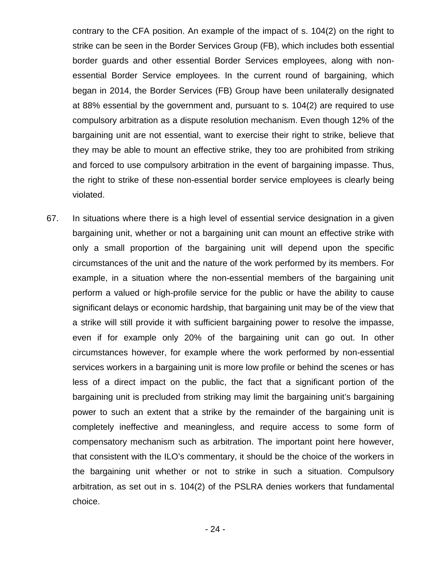contrary to the CFA position. An example of the impact of s. 104(2) on the right to strike can be seen in the Border Services Group (FB), which includes both essential border guards and other essential Border Services employees, along with nonessential Border Service employees. In the current round of bargaining, which began in 2014, the Border Services (FB) Group have been unilaterally designated at 88% essential by the government and, pursuant to s. 104(2) are required to use compulsory arbitration as a dispute resolution mechanism. Even though 12% of the bargaining unit are not essential, want to exercise their right to strike, believe that they may be able to mount an effective strike, they too are prohibited from striking and forced to use compulsory arbitration in the event of bargaining impasse. Thus, the right to strike of these non-essential border service employees is clearly being violated.

67. In situations where there is a high level of essential service designation in a given bargaining unit, whether or not a bargaining unit can mount an effective strike with only a small proportion of the bargaining unit will depend upon the specific circumstances of the unit and the nature of the work performed by its members. For example, in a situation where the non-essential members of the bargaining unit perform a valued or high-profile service for the public or have the ability to cause significant delays or economic hardship, that bargaining unit may be of the view that a strike will still provide it with sufficient bargaining power to resolve the impasse, even if for example only 20% of the bargaining unit can go out. In other circumstances however, for example where the work performed by non-essential services workers in a bargaining unit is more low profile or behind the scenes or has less of a direct impact on the public, the fact that a significant portion of the bargaining unit is precluded from striking may limit the bargaining unit's bargaining power to such an extent that a strike by the remainder of the bargaining unit is completely ineffective and meaningless, and require access to some form of compensatory mechanism such as arbitration. The important point here however, that consistent with the ILO's commentary, it should be the choice of the workers in the bargaining unit whether or not to strike in such a situation. Compulsory arbitration, as set out in s. 104(2) of the PSLRA denies workers that fundamental choice.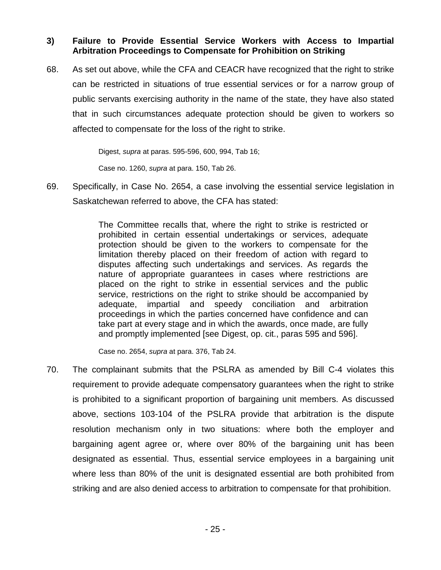### **3) Failure to Provide Essential Service Workers with Access to Impartial Arbitration Proceedings to Compensate for Prohibition on Striking**

68. As set out above, while the CFA and CEACR have recognized that the right to strike can be restricted in situations of true essential services or for a narrow group of public servants exercising authority in the name of the state, they have also stated that in such circumstances adequate protection should be given to workers so affected to compensate for the loss of the right to strike.

Digest, *supra* at paras. 595-596, 600, 994, Tab 16;

Case no. 1260, *supra* at para. 150, Tab 26.

69. Specifically, in Case No. 2654, a case involving the essential service legislation in Saskatchewan referred to above, the CFA has stated:

> The Committee recalls that, where the right to strike is restricted or prohibited in certain essential undertakings or services, adequate protection should be given to the workers to compensate for the limitation thereby placed on their freedom of action with regard to disputes affecting such undertakings and services. As regards the nature of appropriate guarantees in cases where restrictions are placed on the right to strike in essential services and the public service, restrictions on the right to strike should be accompanied by adequate, impartial and speedy conciliation and arbitration proceedings in which the parties concerned have confidence and can take part at every stage and in which the awards, once made, are fully and promptly implemented [see Digest, op. cit., paras 595 and 596].

Case no. 2654, *supra* at para. 376, Tab 24.

70. The complainant submits that the PSLRA as amended by Bill C-4 violates this requirement to provide adequate compensatory guarantees when the right to strike is prohibited to a significant proportion of bargaining unit members. As discussed above, sections 103-104 of the PSLRA provide that arbitration is the dispute resolution mechanism only in two situations: where both the employer and bargaining agent agree or, where over 80% of the bargaining unit has been designated as essential. Thus, essential service employees in a bargaining unit where less than 80% of the unit is designated essential are both prohibited from striking and are also denied access to arbitration to compensate for that prohibition.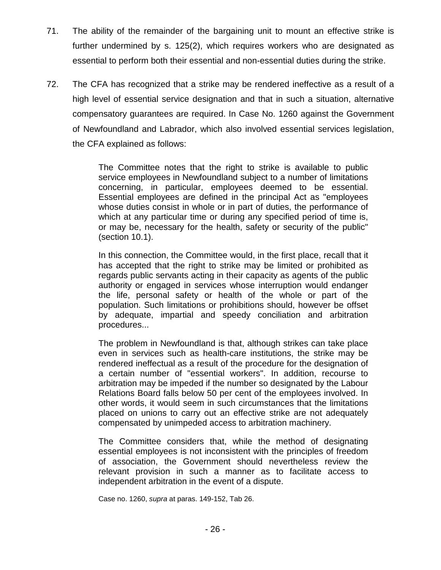- 71. The ability of the remainder of the bargaining unit to mount an effective strike is further undermined by s. 125(2), which requires workers who are designated as essential to perform both their essential and non-essential duties during the strike.
- 72. The CFA has recognized that a strike may be rendered ineffective as a result of a high level of essential service designation and that in such a situation, alternative compensatory guarantees are required. In Case No. 1260 against the Government of Newfoundland and Labrador, which also involved essential services legislation, the CFA explained as follows:

The Committee notes that the right to strike is available to public service employees in Newfoundland subject to a number of limitations concerning, in particular, employees deemed to be essential. Essential employees are defined in the principal Act as "employees whose duties consist in whole or in part of duties, the performance of which at any particular time or during any specified period of time is, or may be, necessary for the health, safety or security of the public" (section 10.1).

In this connection, the Committee would, in the first place, recall that it has accepted that the right to strike may be limited or prohibited as regards public servants acting in their capacity as agents of the public authority or engaged in services whose interruption would endanger the life, personal safety or health of the whole or part of the population. Such limitations or prohibitions should, however be offset by adequate, impartial and speedy conciliation and arbitration procedures...

The problem in Newfoundland is that, although strikes can take place even in services such as health-care institutions, the strike may be rendered ineffectual as a result of the procedure for the designation of a certain number of "essential workers". In addition, recourse to arbitration may be impeded if the number so designated by the Labour Relations Board falls below 50 per cent of the employees involved. In other words, it would seem in such circumstances that the limitations placed on unions to carry out an effective strike are not adequately compensated by unimpeded access to arbitration machinery.

The Committee considers that, while the method of designating essential employees is not inconsistent with the principles of freedom of association, the Government should nevertheless review the relevant provision in such a manner as to facilitate access to independent arbitration in the event of a dispute.

Case no. 1260, *supra* at paras. 149-152, Tab 26.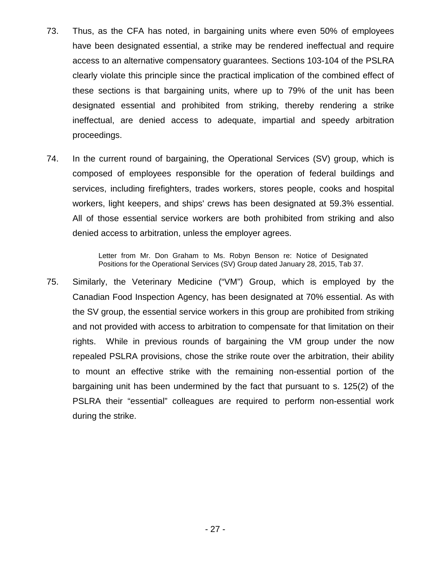- 73. Thus, as the CFA has noted, in bargaining units where even 50% of employees have been designated essential, a strike may be rendered ineffectual and require access to an alternative compensatory guarantees. Sections 103-104 of the PSLRA clearly violate this principle since the practical implication of the combined effect of these sections is that bargaining units, where up to 79% of the unit has been designated essential and prohibited from striking, thereby rendering a strike ineffectual, are denied access to adequate, impartial and speedy arbitration proceedings.
- 74. In the current round of bargaining, the Operational Services (SV) group, which is composed of employees responsible for the operation of federal buildings and services, including firefighters, trades workers, stores people, cooks and hospital workers, light keepers, and ships' crews has been designated at 59.3% essential. All of those essential service workers are both prohibited from striking and also denied access to arbitration, unless the employer agrees.

Letter from Mr. Don Graham to Ms. Robyn Benson re: Notice of Designated Positions for the Operational Services (SV) Group dated January 28, 2015, Tab 37.

75. Similarly, the Veterinary Medicine ("VM") Group, which is employed by the Canadian Food Inspection Agency, has been designated at 70% essential. As with the SV group, the essential service workers in this group are prohibited from striking and not provided with access to arbitration to compensate for that limitation on their rights. While in previous rounds of bargaining the VM group under the now repealed PSLRA provisions, chose the strike route over the arbitration, their ability to mount an effective strike with the remaining non-essential portion of the bargaining unit has been undermined by the fact that pursuant to s. 125(2) of the PSLRA their "essential" colleagues are required to perform non-essential work during the strike.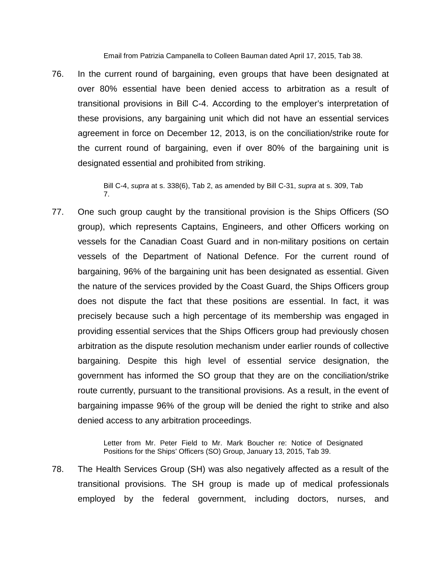Email from Patrizia Campanella to Colleen Bauman dated April 17, 2015, Tab 38.

76. In the current round of bargaining, even groups that have been designated at over 80% essential have been denied access to arbitration as a result of transitional provisions in Bill C-4. According to the employer's interpretation of these provisions, any bargaining unit which did not have an essential services agreement in force on December 12, 2013, is on the conciliation/strike route for the current round of bargaining, even if over 80% of the bargaining unit is designated essential and prohibited from striking.

> Bill C-4, *supra* at s. 338(6), Tab 2, as amended by Bill C-31, *supra* at s. 309, Tab 7.

77. One such group caught by the transitional provision is the Ships Officers (SO group), which represents Captains, Engineers, and other Officers working on vessels for the Canadian Coast Guard and in non-military positions on certain vessels of the Department of National Defence. For the current round of bargaining, 96% of the bargaining unit has been designated as essential. Given the nature of the services provided by the Coast Guard, the Ships Officers group does not dispute the fact that these positions are essential. In fact, it was precisely because such a high percentage of its membership was engaged in providing essential services that the Ships Officers group had previously chosen arbitration as the dispute resolution mechanism under earlier rounds of collective bargaining. Despite this high level of essential service designation, the government has informed the SO group that they are on the conciliation/strike route currently, pursuant to the transitional provisions. As a result, in the event of bargaining impasse 96% of the group will be denied the right to strike and also denied access to any arbitration proceedings.

> Letter from Mr. Peter Field to Mr. Mark Boucher re: Notice of Designated Positions for the Ships' Officers (SO) Group, January 13, 2015, Tab 39.

78. The Health Services Group (SH) was also negatively affected as a result of the transitional provisions. The SH group is made up of medical professionals employed by the federal government, including doctors, nurses, and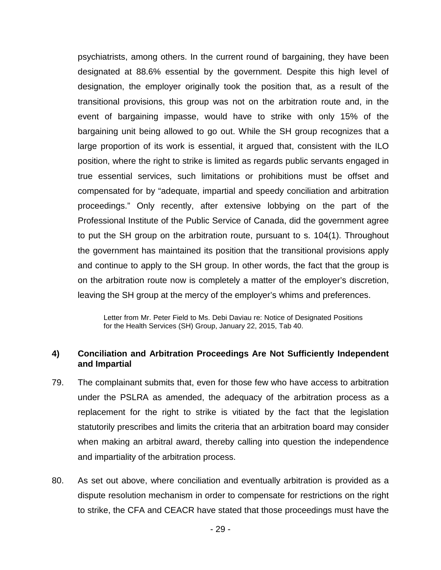psychiatrists, among others. In the current round of bargaining, they have been designated at 88.6% essential by the government. Despite this high level of designation, the employer originally took the position that, as a result of the transitional provisions, this group was not on the arbitration route and, in the event of bargaining impasse, would have to strike with only 15% of the bargaining unit being allowed to go out. While the SH group recognizes that a large proportion of its work is essential, it argued that, consistent with the ILO position, where the right to strike is limited as regards public servants engaged in true essential services, such limitations or prohibitions must be offset and compensated for by "adequate, impartial and speedy conciliation and arbitration proceedings." Only recently, after extensive lobbying on the part of the Professional Institute of the Public Service of Canada, did the government agree to put the SH group on the arbitration route, pursuant to s. 104(1). Throughout the government has maintained its position that the transitional provisions apply and continue to apply to the SH group. In other words, the fact that the group is on the arbitration route now is completely a matter of the employer's discretion, leaving the SH group at the mercy of the employer's whims and preferences.

Letter from Mr. Peter Field to Ms. Debi Daviau re: Notice of Designated Positions for the Health Services (SH) Group, January 22, 2015, Tab 40.

#### **4) Conciliation and Arbitration Proceedings Are Not Sufficiently Independent and Impartial**

- 79. The complainant submits that, even for those few who have access to arbitration under the PSLRA as amended, the adequacy of the arbitration process as a replacement for the right to strike is vitiated by the fact that the legislation statutorily prescribes and limits the criteria that an arbitration board may consider when making an arbitral award, thereby calling into question the independence and impartiality of the arbitration process.
- 80. As set out above, where conciliation and eventually arbitration is provided as a dispute resolution mechanism in order to compensate for restrictions on the right to strike, the CFA and CEACR have stated that those proceedings must have the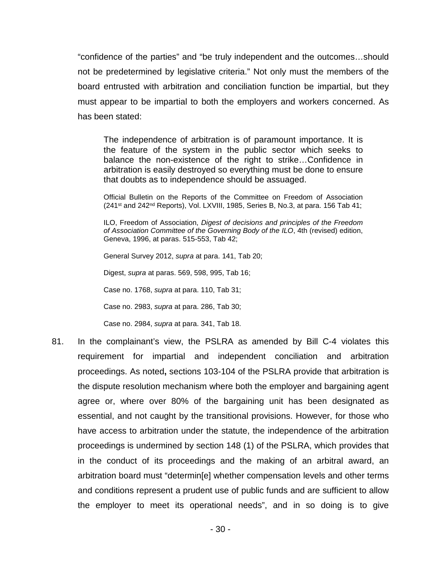"confidence of the parties" and "be truly independent and the outcomes…should not be predetermined by legislative criteria." Not only must the members of the board entrusted with arbitration and conciliation function be impartial, but they must appear to be impartial to both the employers and workers concerned. As has been stated:

The independence of arbitration is of paramount importance. It is the feature of the system in the public sector which seeks to balance the non-existence of the right to strike…Confidence in arbitration is easily destroyed so everything must be done to ensure that doubts as to independence should be assuaged.

Official Bulletin on the Reports of the Committee on Freedom of Association (241<sup>st</sup> and 242<sup>nd</sup> Reports), Vol. LXVIII, 1985, Series B, No.3, at para. 156 Tab 41;

ILO, Freedom of Association, *Digest of decisions and principles of the Freedom of Association Committee of the Governing Body of the ILO*, 4th (revised) edition, Geneva, 1996, at paras. 515-553, Tab 42;

General Survey 2012, *supra* at para. 141, Tab 20;

Digest, *supra* at paras. 569, 598, 995, Tab 16;

Case no. 1768, *supra* at para. 110, Tab 31;

Case no. 2983, *supra* at para. 286, Tab 30;

Case no. 2984, *supra* at para. 341, Tab 18.

81. In the complainant's view, the PSLRA as amended by Bill C-4 violates this requirement for impartial and independent conciliation and arbitration proceedings. As noted**,** sections 103-104 of the PSLRA provide that arbitration is the dispute resolution mechanism where both the employer and bargaining agent agree or, where over 80% of the bargaining unit has been designated as essential, and not caught by the transitional provisions. However, for those who have access to arbitration under the statute, the independence of the arbitration proceedings is undermined by section 148 (1) of the PSLRA, which provides that in the conduct of its proceedings and the making of an arbitral award, an arbitration board must "determin[e] whether compensation levels and other terms and conditions represent a prudent use of public funds and are sufficient to allow the employer to meet its operational needs", and in so doing is to give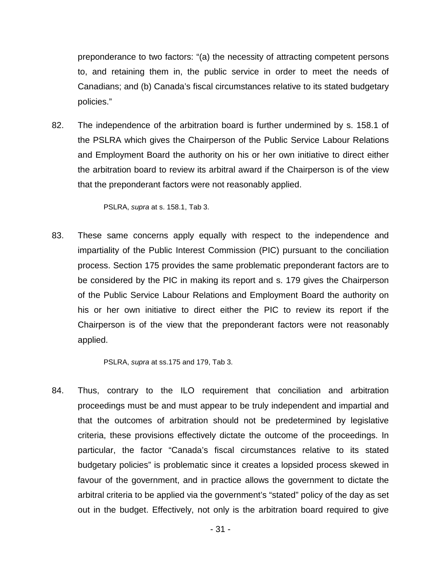preponderance to two factors: "(a) the necessity of attracting competent persons to, and retaining them in, the public service in order to meet the needs of Canadians; and (b) Canada's fiscal circumstances relative to its stated budgetary policies."

82. The independence of the arbitration board is further undermined by s. 158.1 of the PSLRA which gives the Chairperson of the Public Service Labour Relations and Employment Board the authority on his or her own initiative to direct either the arbitration board to review its arbitral award if the Chairperson is of the view that the preponderant factors were not reasonably applied.

PSLRA, *supra* at s. 158.1, Tab 3.

83. These same concerns apply equally with respect to the independence and impartiality of the Public Interest Commission (PIC) pursuant to the conciliation process. Section 175 provides the same problematic preponderant factors are to be considered by the PIC in making its report and s. 179 gives the Chairperson of the Public Service Labour Relations and Employment Board the authority on his or her own initiative to direct either the PIC to review its report if the Chairperson is of the view that the preponderant factors were not reasonably applied.

PSLRA, *supra* at ss.175 and 179, Tab 3.

84. Thus, contrary to the ILO requirement that conciliation and arbitration proceedings must be and must appear to be truly independent and impartial and that the outcomes of arbitration should not be predetermined by legislative criteria, these provisions effectively dictate the outcome of the proceedings. In particular, the factor "Canada's fiscal circumstances relative to its stated budgetary policies" is problematic since it creates a lopsided process skewed in favour of the government, and in practice allows the government to dictate the arbitral criteria to be applied via the government's "stated" policy of the day as set out in the budget. Effectively, not only is the arbitration board required to give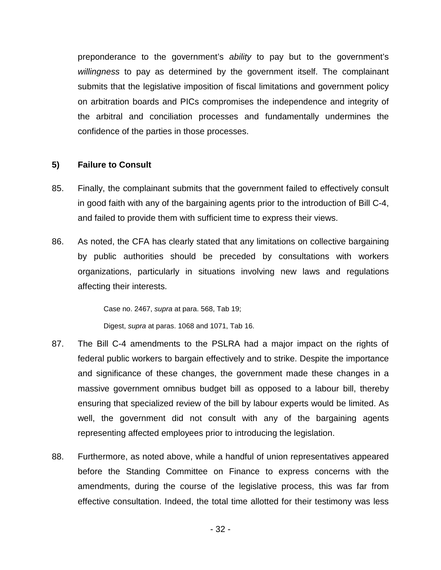preponderance to the government's *ability* to pay but to the government's *willingness* to pay as determined by the government itself. The complainant submits that the legislative imposition of fiscal limitations and government policy on arbitration boards and PICs compromises the independence and integrity of the arbitral and conciliation processes and fundamentally undermines the confidence of the parties in those processes.

#### **5) Failure to Consult**

- 85. Finally, the complainant submits that the government failed to effectively consult in good faith with any of the bargaining agents prior to the introduction of Bill C-4, and failed to provide them with sufficient time to express their views.
- 86. As noted, the CFA has clearly stated that any limitations on collective bargaining by public authorities should be preceded by consultations with workers organizations, particularly in situations involving new laws and regulations affecting their interests.

Case no. 2467, *supra* at para. 568, Tab 19;

Digest, *supra* at paras. 1068 and 1071, Tab 16.

- 87. The Bill C-4 amendments to the PSLRA had a major impact on the rights of federal public workers to bargain effectively and to strike. Despite the importance and significance of these changes, the government made these changes in a massive government omnibus budget bill as opposed to a labour bill, thereby ensuring that specialized review of the bill by labour experts would be limited. As well, the government did not consult with any of the bargaining agents representing affected employees prior to introducing the legislation.
- 88. Furthermore, as noted above, while a handful of union representatives appeared before the Standing Committee on Finance to express concerns with the amendments, during the course of the legislative process, this was far from effective consultation. Indeed, the total time allotted for their testimony was less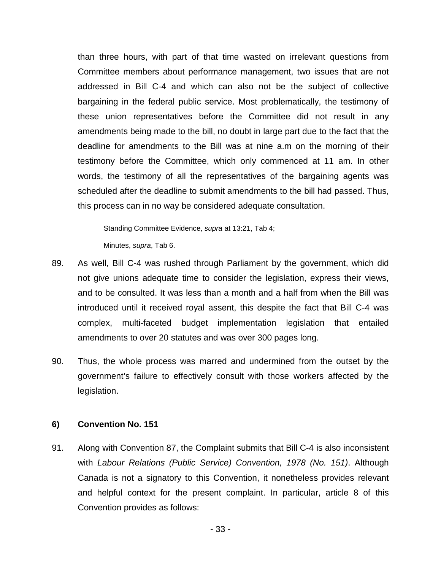than three hours, with part of that time wasted on irrelevant questions from Committee members about performance management, two issues that are not addressed in Bill C-4 and which can also not be the subject of collective bargaining in the federal public service. Most problematically, the testimony of these union representatives before the Committee did not result in any amendments being made to the bill, no doubt in large part due to the fact that the deadline for amendments to the Bill was at nine a.m on the morning of their testimony before the Committee, which only commenced at 11 am. In other words, the testimony of all the representatives of the bargaining agents was scheduled after the deadline to submit amendments to the bill had passed. Thus, this process can in no way be considered adequate consultation.

Standing Committee Evidence, *supra* at 13:21, Tab 4; Minutes, *supra*, Tab 6.

- 89. As well, Bill C-4 was rushed through Parliament by the government, which did not give unions adequate time to consider the legislation, express their views, and to be consulted. It was less than a month and a half from when the Bill was introduced until it received royal assent, this despite the fact that Bill C-4 was complex, multi-faceted budget implementation legislation that entailed amendments to over 20 statutes and was over 300 pages long.
- 90. Thus, the whole process was marred and undermined from the outset by the government's failure to effectively consult with those workers affected by the legislation.

#### **6) Convention No. 151**

91. Along with Convention 87, the Complaint submits that Bill C-4 is also inconsistent with *Labour Relations (Public Service) Convention, 1978 (No. 151)*. Although Canada is not a signatory to this Convention, it nonetheless provides relevant and helpful context for the present complaint. In particular, article 8 of this Convention provides as follows: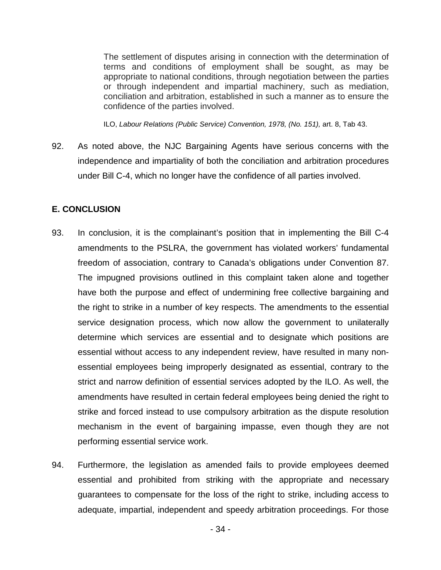The settlement of disputes arising in connection with the determination of terms and conditions of employment shall be sought, as may be appropriate to national conditions, through negotiation between the parties or through independent and impartial machinery, such as mediation, conciliation and arbitration, established in such a manner as to ensure the confidence of the parties involved.

ILO, Labour Relations (Public Service) Convention, 1978, (No. 151), art. 8, Tab 43.

92. As noted above, the NJC Bargaining Agents have serious concerns with the independence and impartiality of both the conciliation and arbitration procedures under Bill C-4, which no longer have the confidence of all parties involved.

## **E. CONCLUSION**

- 93. In conclusion, it is the complainant's position that in implementing the Bill C-4 amendments to the PSLRA, the government has violated workers' fundamental freedom of association, contrary to Canada's obligations under Convention 87. The impugned provisions outlined in this complaint taken alone and together have both the purpose and effect of undermining free collective bargaining and the right to strike in a number of key respects. The amendments to the essential service designation process, which now allow the government to unilaterally determine which services are essential and to designate which positions are essential without access to any independent review, have resulted in many nonessential employees being improperly designated as essential, contrary to the strict and narrow definition of essential services adopted by the ILO. As well, the amendments have resulted in certain federal employees being denied the right to strike and forced instead to use compulsory arbitration as the dispute resolution mechanism in the event of bargaining impasse, even though they are not performing essential service work.
- 94. Furthermore, the legislation as amended fails to provide employees deemed essential and prohibited from striking with the appropriate and necessary guarantees to compensate for the loss of the right to strike, including access to adequate, impartial, independent and speedy arbitration proceedings. For those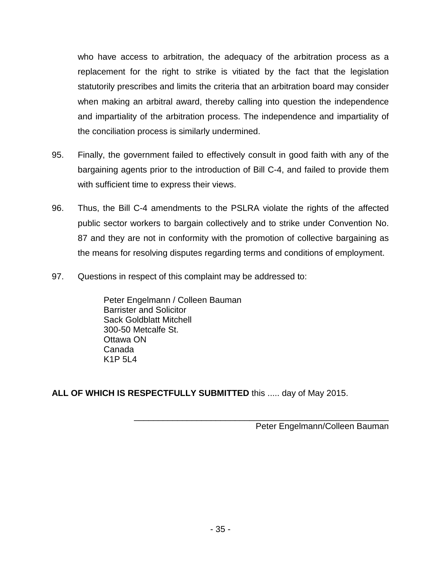who have access to arbitration, the adequacy of the arbitration process as a replacement for the right to strike is vitiated by the fact that the legislation statutorily prescribes and limits the criteria that an arbitration board may consider when making an arbitral award, thereby calling into question the independence and impartiality of the arbitration process. The independence and impartiality of the conciliation process is similarly undermined.

- 95. Finally, the government failed to effectively consult in good faith with any of the bargaining agents prior to the introduction of Bill C-4, and failed to provide them with sufficient time to express their views.
- 96. Thus, the Bill C-4 amendments to the PSLRA violate the rights of the affected public sector workers to bargain collectively and to strike under Convention No. 87 and they are not in conformity with the promotion of collective bargaining as the means for resolving disputes regarding terms and conditions of employment.
- 97. Questions in respect of this complaint may be addressed to:

Peter Engelmann / Colleen Bauman Barrister and Solicitor Sack Goldblatt Mitchell 300-50 Metcalfe St. Ottawa ON Canada K1P 5L4

**ALL OF WHICH IS RESPECTFULLY SUBMITTED** this ..... day of May 2015.

Peter Engelmann/Colleen Bauman

\_\_\_\_\_\_\_\_\_\_\_\_\_\_\_\_\_\_\_\_\_\_\_\_\_\_\_\_\_\_\_\_\_\_\_\_\_\_\_\_\_\_\_\_\_\_\_\_\_\_\_\_\_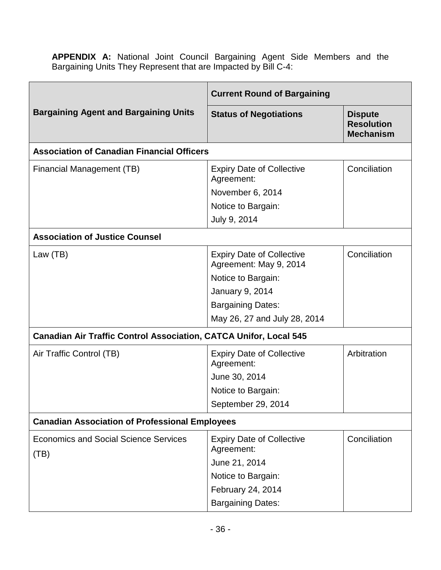**APPENDIX A:** National Joint Council Bargaining Agent Side Members and the Bargaining Units They Represent that are Impacted by Bill C-4:

| <b>Bargaining Agent and Bargaining Units</b>                             | <b>Current Round of Bargaining</b>                         |                                                         |
|--------------------------------------------------------------------------|------------------------------------------------------------|---------------------------------------------------------|
|                                                                          | <b>Status of Negotiations</b>                              | <b>Dispute</b><br><b>Resolution</b><br><b>Mechanism</b> |
| <b>Association of Canadian Financial Officers</b>                        |                                                            |                                                         |
| Financial Management (TB)                                                | <b>Expiry Date of Collective</b><br>Agreement:             | Conciliation                                            |
|                                                                          | November 6, 2014                                           |                                                         |
|                                                                          | Notice to Bargain:                                         |                                                         |
|                                                                          | July 9, 2014                                               |                                                         |
| <b>Association of Justice Counsel</b>                                    |                                                            |                                                         |
| Law (TB)                                                                 | <b>Expiry Date of Collective</b><br>Agreement: May 9, 2014 | Conciliation                                            |
|                                                                          | Notice to Bargain:                                         |                                                         |
|                                                                          | <b>January 9, 2014</b>                                     |                                                         |
|                                                                          | <b>Bargaining Dates:</b>                                   |                                                         |
|                                                                          | May 26, 27 and July 28, 2014                               |                                                         |
| <b>Canadian Air Traffic Control Association, CATCA Unifor, Local 545</b> |                                                            |                                                         |
| Air Traffic Control (TB)                                                 | <b>Expiry Date of Collective</b><br>Agreement:             | Arbitration                                             |
|                                                                          | June 30, 2014                                              |                                                         |
|                                                                          | Notice to Bargain:                                         |                                                         |
|                                                                          | September 29, 2014                                         |                                                         |
| <b>Canadian Association of Professional Employees</b>                    |                                                            |                                                         |
| <b>Economics and Social Science Services</b><br>(TB)                     | <b>Expiry Date of Collective</b><br>Agreement:             | Conciliation                                            |
|                                                                          | June 21, 2014                                              |                                                         |
|                                                                          | Notice to Bargain:                                         |                                                         |
|                                                                          | February 24, 2014                                          |                                                         |
|                                                                          | <b>Bargaining Dates:</b>                                   |                                                         |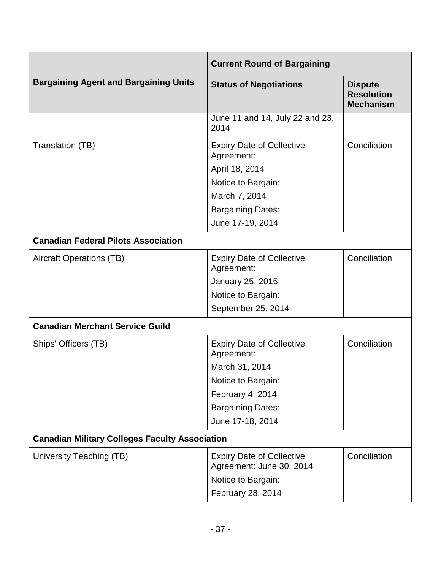| <b>Current Round of Bargaining</b>                    |                                                              |                                                         |
|-------------------------------------------------------|--------------------------------------------------------------|---------------------------------------------------------|
| <b>Bargaining Agent and Bargaining Units</b>          | <b>Status of Negotiations</b>                                | <b>Dispute</b><br><b>Resolution</b><br><b>Mechanism</b> |
|                                                       | June 11 and 14, July 22 and 23,<br>2014                      |                                                         |
| Translation (TB)                                      | <b>Expiry Date of Collective</b><br>Agreement:               | Conciliation                                            |
|                                                       | April 18, 2014                                               |                                                         |
|                                                       | Notice to Bargain:                                           |                                                         |
|                                                       | March 7, 2014                                                |                                                         |
|                                                       | <b>Bargaining Dates:</b>                                     |                                                         |
|                                                       | June 17-19, 2014                                             |                                                         |
| <b>Canadian Federal Pilots Association</b>            |                                                              |                                                         |
| <b>Aircraft Operations (TB)</b>                       | <b>Expiry Date of Collective</b><br>Agreement:               | Conciliation                                            |
|                                                       | <b>January 25. 2015</b>                                      |                                                         |
|                                                       | Notice to Bargain:                                           |                                                         |
|                                                       | September 25, 2014                                           |                                                         |
| <b>Canadian Merchant Service Guild</b>                |                                                              |                                                         |
| Ships' Officers (TB)                                  | <b>Expiry Date of Collective</b><br>Agreement:               | Conciliation                                            |
|                                                       | March 31, 2014                                               |                                                         |
|                                                       | Notice to Bargain:                                           |                                                         |
|                                                       | February 4, 2014                                             |                                                         |
|                                                       | <b>Bargaining Dates:</b>                                     |                                                         |
|                                                       | June 17-18, 2014                                             |                                                         |
| <b>Canadian Military Colleges Faculty Association</b> |                                                              |                                                         |
| University Teaching (TB)                              | <b>Expiry Date of Collective</b><br>Agreement: June 30, 2014 | Conciliation                                            |
|                                                       | Notice to Bargain:                                           |                                                         |
|                                                       | February 28, 2014                                            |                                                         |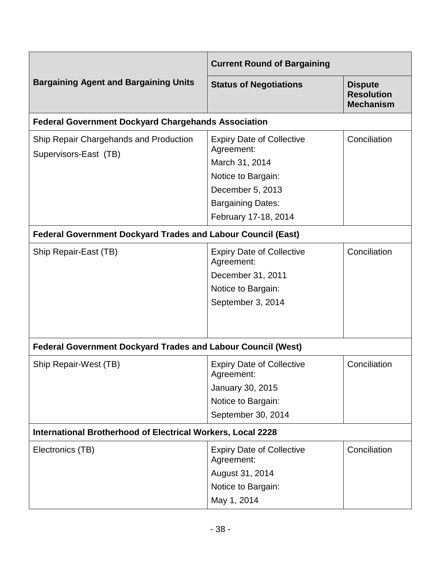|                                                                     | <b>Current Round of Bargaining</b>                                                                             |                                                         |
|---------------------------------------------------------------------|----------------------------------------------------------------------------------------------------------------|---------------------------------------------------------|
| <b>Bargaining Agent and Bargaining Units</b>                        | <b>Status of Negotiations</b>                                                                                  | <b>Dispute</b><br><b>Resolution</b><br><b>Mechanism</b> |
| <b>Federal Government Dockyard Chargehands Association</b>          |                                                                                                                |                                                         |
| Ship Repair Chargehands and Production<br>Supervisors-East (TB)     | <b>Expiry Date of Collective</b><br>Agreement:<br>March 31, 2014<br>Notice to Bargain:<br>December 5, 2013     | Conciliation                                            |
|                                                                     | <b>Bargaining Dates:</b><br>February 17-18, 2014                                                               |                                                         |
| <b>Federal Government Dockyard Trades and Labour Council (East)</b> |                                                                                                                |                                                         |
| Ship Repair-East (TB)                                               | <b>Expiry Date of Collective</b><br>Agreement:<br>December 31, 2011<br>Notice to Bargain:<br>September 3, 2014 | Conciliation                                            |
| <b>Federal Government Dockyard Trades and Labour Council (West)</b> |                                                                                                                |                                                         |
| Ship Repair-West (TB)                                               | <b>Expiry Date of Collective</b><br>Agreement:<br>January 30, 2015<br>Notice to Bargain:<br>September 30, 2014 | Conciliation                                            |
| International Brotherhood of Electrical Workers, Local 2228         |                                                                                                                |                                                         |
| Electronics (TB)                                                    | <b>Expiry Date of Collective</b><br>Agreement:<br>August 31, 2014<br>Notice to Bargain:<br>May 1, 2014         | Conciliation                                            |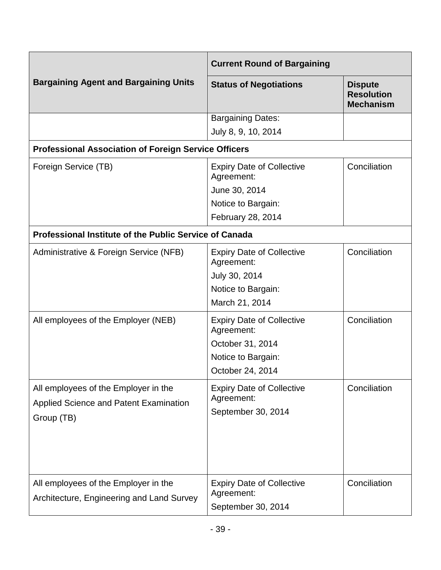|                                                               | <b>Current Round of Bargaining</b>             |                                                         |
|---------------------------------------------------------------|------------------------------------------------|---------------------------------------------------------|
| <b>Bargaining Agent and Bargaining Units</b>                  | <b>Status of Negotiations</b>                  | <b>Dispute</b><br><b>Resolution</b><br><b>Mechanism</b> |
|                                                               | <b>Bargaining Dates:</b>                       |                                                         |
|                                                               | July 8, 9, 10, 2014                            |                                                         |
| <b>Professional Association of Foreign Service Officers</b>   |                                                |                                                         |
| Foreign Service (TB)                                          | <b>Expiry Date of Collective</b><br>Agreement: | Conciliation                                            |
|                                                               | June 30, 2014                                  |                                                         |
|                                                               | Notice to Bargain:                             |                                                         |
|                                                               | February 28, 2014                              |                                                         |
| <b>Professional Institute of the Public Service of Canada</b> |                                                |                                                         |
| Administrative & Foreign Service (NFB)                        | <b>Expiry Date of Collective</b><br>Agreement: | Conciliation                                            |
|                                                               | July 30, 2014                                  |                                                         |
|                                                               | Notice to Bargain:                             |                                                         |
|                                                               | March 21, 2014                                 |                                                         |
| All employees of the Employer (NEB)                           | <b>Expiry Date of Collective</b><br>Agreement: | Conciliation                                            |
|                                                               | October 31, 2014                               |                                                         |
|                                                               | Notice to Bargain:                             |                                                         |
|                                                               | October 24, 2014                               |                                                         |
| All employees of the Employer in the                          | <b>Expiry Date of Collective</b>               | Conciliation                                            |
| <b>Applied Science and Patent Examination</b>                 | Agreement:                                     |                                                         |
| Group (TB)                                                    | September 30, 2014                             |                                                         |
|                                                               |                                                |                                                         |
|                                                               |                                                |                                                         |
|                                                               |                                                |                                                         |
| All employees of the Employer in the                          | <b>Expiry Date of Collective</b>               | Conciliation                                            |
| Architecture, Engineering and Land Survey                     | Agreement:                                     |                                                         |
|                                                               | September 30, 2014                             |                                                         |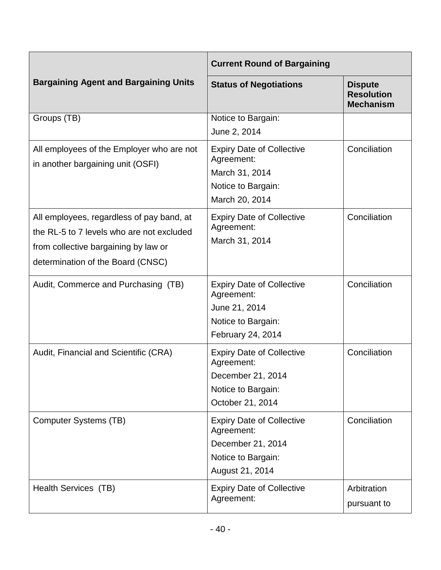|                                                                                                                                                                     | <b>Current Round of Bargaining</b>                                                                            |                                                         |
|---------------------------------------------------------------------------------------------------------------------------------------------------------------------|---------------------------------------------------------------------------------------------------------------|---------------------------------------------------------|
| <b>Bargaining Agent and Bargaining Units</b>                                                                                                                        | <b>Status of Negotiations</b>                                                                                 | <b>Dispute</b><br><b>Resolution</b><br><b>Mechanism</b> |
| Groups (TB)                                                                                                                                                         | Notice to Bargain:<br>June 2, 2014                                                                            |                                                         |
| All employees of the Employer who are not<br>in another bargaining unit (OSFI)                                                                                      | <b>Expiry Date of Collective</b><br>Agreement:<br>March 31, 2014<br>Notice to Bargain:<br>March 20, 2014      | Conciliation                                            |
| All employees, regardless of pay band, at<br>the RL-5 to 7 levels who are not excluded<br>from collective bargaining by law or<br>determination of the Board (CNSC) | <b>Expiry Date of Collective</b><br>Agreement:<br>March 31, 2014                                              | Conciliation                                            |
| Audit, Commerce and Purchasing (TB)                                                                                                                                 | <b>Expiry Date of Collective</b><br>Agreement:<br>June 21, 2014<br>Notice to Bargain:<br>February 24, 2014    | Conciliation                                            |
| Audit, Financial and Scientific (CRA)                                                                                                                               | <b>Expiry Date of Collective</b><br>Agreement:<br>December 21, 2014<br>Notice to Bargain:<br>October 21, 2014 | Conciliation                                            |
| <b>Computer Systems (TB)</b>                                                                                                                                        | <b>Expiry Date of Collective</b><br>Agreement:<br>December 21, 2014<br>Notice to Bargain:<br>August 21, 2014  | Conciliation                                            |
| Health Services (TB)                                                                                                                                                | <b>Expiry Date of Collective</b><br>Agreement:                                                                | Arbitration<br>pursuant to                              |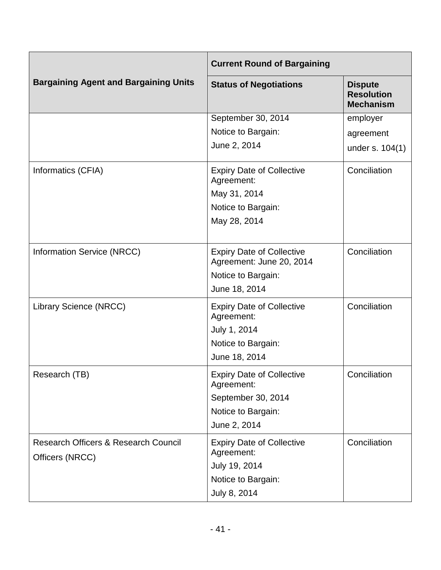|                                                                    | <b>Current Round of Bargaining</b>                           |                                                         |
|--------------------------------------------------------------------|--------------------------------------------------------------|---------------------------------------------------------|
| <b>Bargaining Agent and Bargaining Units</b>                       | <b>Status of Negotiations</b>                                | <b>Dispute</b><br><b>Resolution</b><br><b>Mechanism</b> |
|                                                                    | September 30, 2014                                           | employer                                                |
|                                                                    | Notice to Bargain:                                           | agreement                                               |
|                                                                    | June 2, 2014                                                 | under s. 104(1)                                         |
| Informatics (CFIA)                                                 | <b>Expiry Date of Collective</b><br>Agreement:               | Conciliation                                            |
|                                                                    | May 31, 2014                                                 |                                                         |
|                                                                    | Notice to Bargain:                                           |                                                         |
|                                                                    | May 28, 2014                                                 |                                                         |
|                                                                    |                                                              |                                                         |
| Information Service (NRCC)                                         | <b>Expiry Date of Collective</b><br>Agreement: June 20, 2014 | Conciliation                                            |
|                                                                    | Notice to Bargain:                                           |                                                         |
|                                                                    | June 18, 2014                                                |                                                         |
| Library Science (NRCC)                                             | <b>Expiry Date of Collective</b><br>Agreement:               | Conciliation                                            |
|                                                                    | July 1, 2014                                                 |                                                         |
|                                                                    | Notice to Bargain:                                           |                                                         |
|                                                                    | June 18, 2014                                                |                                                         |
| Research (TB)                                                      | <b>Expiry Date of Collective</b><br>Agreement:               | Conciliation                                            |
|                                                                    | September 30, 2014                                           |                                                         |
|                                                                    | Notice to Bargain:                                           |                                                         |
|                                                                    | June 2, 2014                                                 |                                                         |
| <b>Research Officers &amp; Research Council</b><br>Officers (NRCC) | <b>Expiry Date of Collective</b><br>Agreement:               | Conciliation                                            |
|                                                                    | July 19, 2014                                                |                                                         |
|                                                                    | Notice to Bargain:                                           |                                                         |
|                                                                    | July 8, 2014                                                 |                                                         |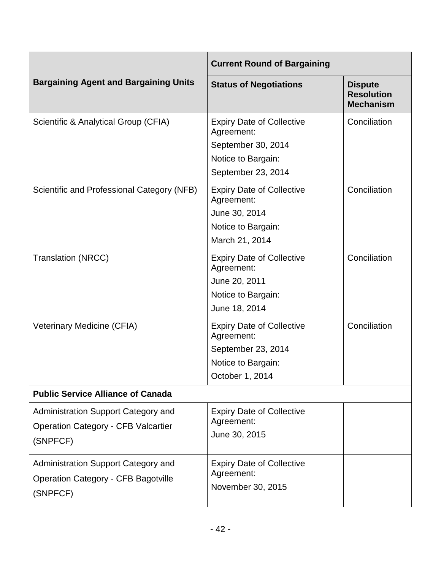|                                                                                               | <b>Current Round of Bargaining</b>                                                                               |                                                         |
|-----------------------------------------------------------------------------------------------|------------------------------------------------------------------------------------------------------------------|---------------------------------------------------------|
| <b>Bargaining Agent and Bargaining Units</b>                                                  | <b>Status of Negotiations</b>                                                                                    | <b>Dispute</b><br><b>Resolution</b><br><b>Mechanism</b> |
| Scientific & Analytical Group (CFIA)                                                          | <b>Expiry Date of Collective</b><br>Agreement:<br>September 30, 2014<br>Notice to Bargain:<br>September 23, 2014 | Conciliation                                            |
| Scientific and Professional Category (NFB)                                                    | <b>Expiry Date of Collective</b><br>Agreement:<br>June 30, 2014<br>Notice to Bargain:<br>March 21, 2014          | Conciliation                                            |
| <b>Translation (NRCC)</b>                                                                     | <b>Expiry Date of Collective</b><br>Agreement:<br>June 20, 2011<br>Notice to Bargain:<br>June 18, 2014           | Conciliation                                            |
| Veterinary Medicine (CFIA)                                                                    | <b>Expiry Date of Collective</b><br>Agreement:<br>September 23, 2014<br>Notice to Bargain:<br>October 1, 2014    | Conciliation                                            |
| <b>Public Service Alliance of Canada</b>                                                      |                                                                                                                  |                                                         |
| Administration Support Category and<br><b>Operation Category - CFB Valcartier</b><br>(SNPFCF) | <b>Expiry Date of Collective</b><br>Agreement:<br>June 30, 2015                                                  |                                                         |
| Administration Support Category and<br><b>Operation Category - CFB Bagotville</b><br>(SNPFCF) | <b>Expiry Date of Collective</b><br>Agreement:<br>November 30, 2015                                              |                                                         |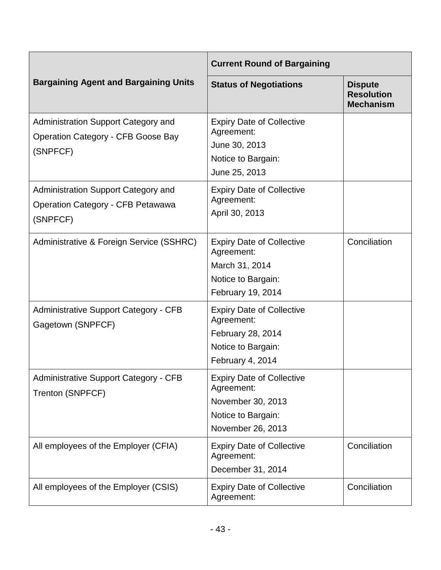|                                                                                              | <b>Current Round of Bargaining</b>                                                                             |                                                         |
|----------------------------------------------------------------------------------------------|----------------------------------------------------------------------------------------------------------------|---------------------------------------------------------|
| <b>Bargaining Agent and Bargaining Units</b>                                                 | <b>Status of Negotiations</b>                                                                                  | <b>Dispute</b><br><b>Resolution</b><br><b>Mechanism</b> |
| Administration Support Category and<br><b>Operation Category - CFB Goose Bay</b><br>(SNPFCF) | <b>Expiry Date of Collective</b><br>Agreement:<br>June 30, 2013<br>Notice to Bargain:<br>June 25, 2013         |                                                         |
| Administration Support Category and<br><b>Operation Category - CFB Petawawa</b><br>(SNPFCF)  | <b>Expiry Date of Collective</b><br>Agreement:<br>April 30, 2013                                               |                                                         |
| Administrative & Foreign Service (SSHRC)                                                     | <b>Expiry Date of Collective</b><br>Agreement:<br>March 31, 2014<br>Notice to Bargain:<br>February 19, 2014    | Conciliation                                            |
| <b>Administrative Support Category - CFB</b><br>Gagetown (SNPFCF)                            | <b>Expiry Date of Collective</b><br>Agreement:<br>February 28, 2014<br>Notice to Bargain:<br>February 4, 2014  |                                                         |
| <b>Administrative Support Category - CFB</b><br>Trenton (SNPFCF)                             | <b>Expiry Date of Collective</b><br>Agreement:<br>November 30, 2013<br>Notice to Bargain:<br>November 26, 2013 |                                                         |
| All employees of the Employer (CFIA)                                                         | <b>Expiry Date of Collective</b><br>Agreement:<br>December 31, 2014                                            | Conciliation                                            |
| All employees of the Employer (CSIS)                                                         | <b>Expiry Date of Collective</b><br>Agreement:                                                                 | Conciliation                                            |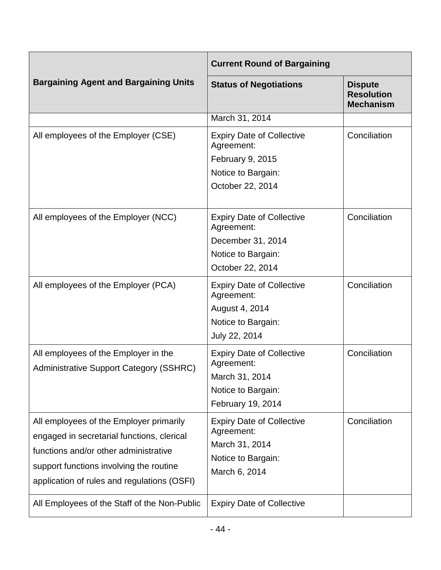|                                                                                                                                                                                                                          | <b>Current Round of Bargaining</b>                                                                            |                                                         |
|--------------------------------------------------------------------------------------------------------------------------------------------------------------------------------------------------------------------------|---------------------------------------------------------------------------------------------------------------|---------------------------------------------------------|
| <b>Bargaining Agent and Bargaining Units</b>                                                                                                                                                                             | <b>Status of Negotiations</b>                                                                                 | <b>Dispute</b><br><b>Resolution</b><br><b>Mechanism</b> |
|                                                                                                                                                                                                                          | March 31, 2014                                                                                                |                                                         |
| All employees of the Employer (CSE)                                                                                                                                                                                      | <b>Expiry Date of Collective</b><br>Agreement:<br>February 9, 2015<br>Notice to Bargain:                      | Conciliation                                            |
|                                                                                                                                                                                                                          | October 22, 2014                                                                                              |                                                         |
| All employees of the Employer (NCC)                                                                                                                                                                                      | <b>Expiry Date of Collective</b><br>Agreement:<br>December 31, 2014<br>Notice to Bargain:<br>October 22, 2014 | Conciliation                                            |
| All employees of the Employer (PCA)                                                                                                                                                                                      | <b>Expiry Date of Collective</b><br>Agreement:<br>August 4, 2014<br>Notice to Bargain:<br>July 22, 2014       | Conciliation                                            |
| All employees of the Employer in the<br><b>Administrative Support Category (SSHRC)</b>                                                                                                                                   | <b>Expiry Date of Collective</b><br>Agreement:<br>March 31, 2014<br>Notice to Bargain:<br>February 19, 2014   | Conciliation                                            |
| All employees of the Employer primarily<br>engaged in secretarial functions, clerical<br>functions and/or other administrative<br>support functions involving the routine<br>application of rules and regulations (OSFI) | <b>Expiry Date of Collective</b><br>Agreement:<br>March 31, 2014<br>Notice to Bargain:<br>March 6, 2014       | Conciliation                                            |
| All Employees of the Staff of the Non-Public                                                                                                                                                                             | <b>Expiry Date of Collective</b>                                                                              |                                                         |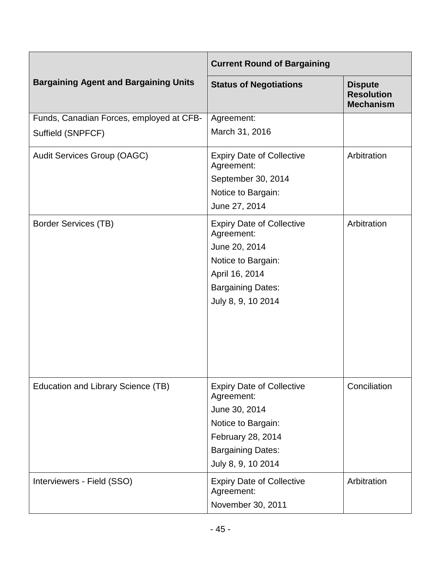|                                                               | <b>Current Round of Bargaining</b>                                                                                                                           |                                                         |
|---------------------------------------------------------------|--------------------------------------------------------------------------------------------------------------------------------------------------------------|---------------------------------------------------------|
| <b>Bargaining Agent and Bargaining Units</b>                  | <b>Status of Negotiations</b>                                                                                                                                | <b>Dispute</b><br><b>Resolution</b><br><b>Mechanism</b> |
| Funds, Canadian Forces, employed at CFB-<br>Suffield (SNPFCF) | Agreement:<br>March 31, 2016                                                                                                                                 |                                                         |
| <b>Audit Services Group (OAGC)</b>                            | <b>Expiry Date of Collective</b><br>Agreement:<br>September 30, 2014<br>Notice to Bargain:<br>June 27, 2014                                                  | Arbitration                                             |
| <b>Border Services (TB)</b>                                   | <b>Expiry Date of Collective</b><br>Agreement:<br>June 20, 2014<br>Notice to Bargain:<br>April 16, 2014<br><b>Bargaining Dates:</b><br>July 8, 9, 10 2014    | Arbitration                                             |
| Education and Library Science (TB)                            | <b>Expiry Date of Collective</b><br>Agreement:<br>June 30, 2014<br>Notice to Bargain:<br>February 28, 2014<br><b>Bargaining Dates:</b><br>July 8, 9, 10 2014 | Conciliation                                            |
| Interviewers - Field (SSO)                                    | <b>Expiry Date of Collective</b><br>Agreement:<br>November 30, 2011                                                                                          | Arbitration                                             |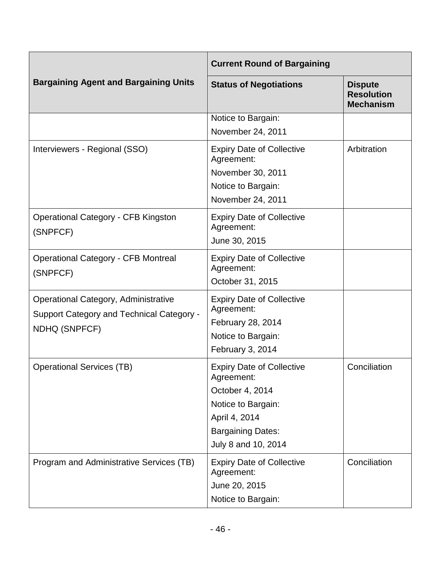|                                                                                                                  | <b>Current Round of Bargaining</b>                                                                                                                          |                                                         |
|------------------------------------------------------------------------------------------------------------------|-------------------------------------------------------------------------------------------------------------------------------------------------------------|---------------------------------------------------------|
| <b>Bargaining Agent and Bargaining Units</b>                                                                     | <b>Status of Negotiations</b>                                                                                                                               | <b>Dispute</b><br><b>Resolution</b><br><b>Mechanism</b> |
|                                                                                                                  | Notice to Bargain:<br>November 24, 2011                                                                                                                     |                                                         |
| Interviewers - Regional (SSO)                                                                                    | <b>Expiry Date of Collective</b><br>Agreement:<br>November 30, 2011<br>Notice to Bargain:<br>November 24, 2011                                              | Arbitration                                             |
| <b>Operational Category - CFB Kingston</b><br>(SNPFCF)                                                           | <b>Expiry Date of Collective</b><br>Agreement:<br>June 30, 2015                                                                                             |                                                         |
| <b>Operational Category - CFB Montreal</b><br>(SNPFCF)                                                           | <b>Expiry Date of Collective</b><br>Agreement:<br>October 31, 2015                                                                                          |                                                         |
| <b>Operational Category, Administrative</b><br><b>Support Category and Technical Category -</b><br>NDHQ (SNPFCF) | <b>Expiry Date of Collective</b><br>Agreement:<br>February 28, 2014<br>Notice to Bargain:<br>February 3, 2014                                               |                                                         |
| <b>Operational Services (TB)</b>                                                                                 | <b>Expiry Date of Collective</b><br>Agreement:<br>October 4, 2014<br>Notice to Bargain:<br>April 4, 2014<br><b>Bargaining Dates:</b><br>July 8 and 10, 2014 | Conciliation                                            |
| Program and Administrative Services (TB)                                                                         | <b>Expiry Date of Collective</b><br>Agreement:<br>June 20, 2015<br>Notice to Bargain:                                                                       | Conciliation                                            |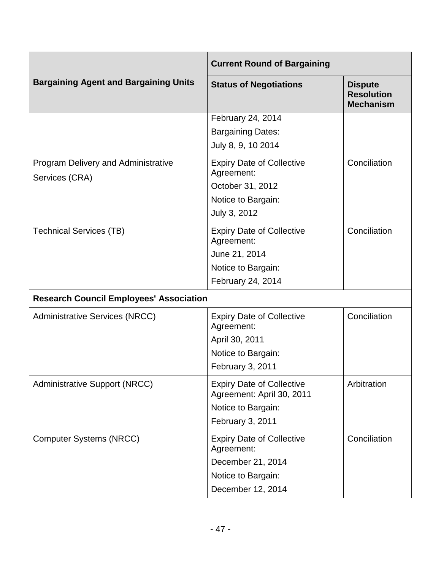|                                                              | <b>Current Round of Bargaining</b>                                                                             |                                                         |
|--------------------------------------------------------------|----------------------------------------------------------------------------------------------------------------|---------------------------------------------------------|
| <b>Bargaining Agent and Bargaining Units</b>                 | <b>Status of Negotiations</b>                                                                                  | <b>Dispute</b><br><b>Resolution</b><br><b>Mechanism</b> |
|                                                              | February 24, 2014<br><b>Bargaining Dates:</b><br>July 8, 9, 10 2014                                            |                                                         |
| <b>Program Delivery and Administrative</b><br>Services (CRA) | <b>Expiry Date of Collective</b><br>Agreement:<br>October 31, 2012<br>Notice to Bargain:<br>July 3, 2012       | Conciliation                                            |
| <b>Technical Services (TB)</b>                               | <b>Expiry Date of Collective</b><br>Agreement:<br>June 21, 2014<br>Notice to Bargain:<br>February 24, 2014     | Conciliation                                            |
| <b>Research Council Employees' Association</b>               |                                                                                                                |                                                         |
| <b>Administrative Services (NRCC)</b>                        | <b>Expiry Date of Collective</b><br>Agreement:<br>April 30, 2011<br>Notice to Bargain:<br>February 3, 2011     | Conciliation                                            |
| <b>Administrative Support (NRCC)</b>                         | <b>Expiry Date of Collective</b><br>Agreement: April 30, 2011<br>Notice to Bargain:<br>February 3, 2011        | Arbitration                                             |
| <b>Computer Systems (NRCC)</b>                               | <b>Expiry Date of Collective</b><br>Agreement:<br>December 21, 2014<br>Notice to Bargain:<br>December 12, 2014 | Conciliation                                            |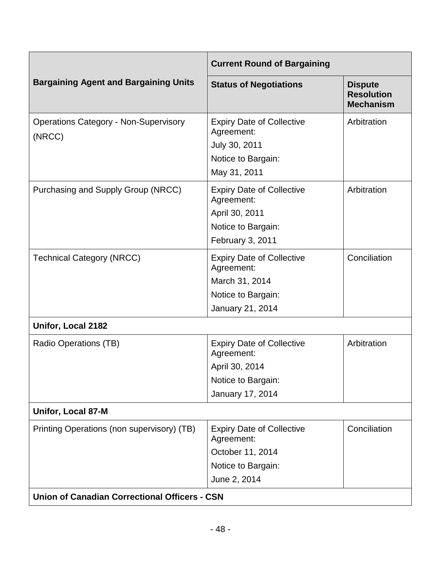|                                                        | <b>Current Round of Bargaining</b>                                                                         |                                                         |  |
|--------------------------------------------------------|------------------------------------------------------------------------------------------------------------|---------------------------------------------------------|--|
| <b>Bargaining Agent and Bargaining Units</b>           | <b>Status of Negotiations</b>                                                                              | <b>Dispute</b><br><b>Resolution</b><br><b>Mechanism</b> |  |
| <b>Operations Category - Non-Supervisory</b><br>(NRCC) | <b>Expiry Date of Collective</b><br>Agreement:<br>July 30, 2011<br>Notice to Bargain:<br>May 31, 2011      | Arbitration                                             |  |
| Purchasing and Supply Group (NRCC)                     | <b>Expiry Date of Collective</b><br>Agreement:<br>April 30, 2011<br>Notice to Bargain:<br>February 3, 2011 | Arbitration                                             |  |
| <b>Technical Category (NRCC)</b>                       | <b>Expiry Date of Collective</b><br>Agreement:<br>March 31, 2014<br>Notice to Bargain:<br>January 21, 2014 | Conciliation                                            |  |
| Unifor, Local 2182                                     |                                                                                                            |                                                         |  |
| Radio Operations (TB)                                  | <b>Expiry Date of Collective</b><br>Agreement:<br>April 30, 2014<br>Notice to Bargain:<br>January 17, 2014 | Arbitration                                             |  |
| <b>Unifor, Local 87-M</b>                              |                                                                                                            |                                                         |  |
| Printing Operations (non supervisory) (TB)             | <b>Expiry Date of Collective</b><br>Agreement:<br>October 11, 2014<br>Notice to Bargain:<br>June 2, 2014   | Conciliation                                            |  |
| <b>Union of Canadian Correctional Officers - CSN</b>   |                                                                                                            |                                                         |  |